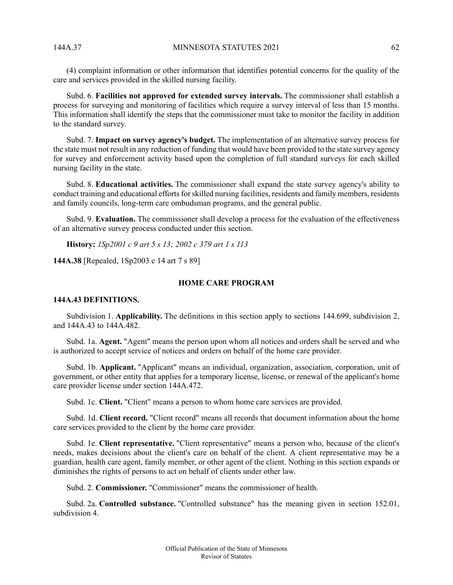(4) complaint information or other information that identifies potential concerns for the quality of the care and services provided in the skilled nursing facility.

Subd. 6. **Facilities not approved for extended survey intervals.** The commissioner shall establish a process for surveying and monitoring of facilities which require a survey interval of less than 15 months. This information shall identify the steps that the commissioner must take to monitor the facility in addition to the standard survey.

Subd. 7. **Impact on survey agency's budget.** The implementation of an alternative survey process for the state must not result in any reduction of funding that would have been provided to the state survey agency for survey and enforcement activity based upon the completion of full standard surveys for each skilled nursing facility in the state.

Subd. 8. **Educational activities.** The commissioner shall expand the state survey agency's ability to conduct training and educational efforts for skilled nursing facilities, residents and family members, residents and family councils, long-term care ombudsman programs, and the general public.

Subd. 9. **Evaluation.** The commissioner shall develop a process for the evaluation of the effectiveness of an alternative survey process conducted under this section.

**History:** *1Sp2001 c 9 art 5 s 13; 2002 c 379 art 1 s 113*

**144A.38** [Repealed, 1Sp2003 c 14 art 7 s 89]

### **HOME CARE PROGRAM**

### **144A.43 DEFINITIONS.**

Subdivision 1. **Applicability.** The definitions in this section apply to sections 144.699, subdivision 2, and 144A.43 to 144A.482.

Subd. 1a. **Agent.** "Agent" means the person upon whom all notices and orders shall be served and who is authorized to accept service of notices and orders on behalf of the home care provider.

Subd. 1b. **Applicant.** "Applicant" means an individual, organization, association, corporation, unit of government, or other entity that applies for a temporary license, license, or renewal of the applicant's home care provider license under section 144A.472.

Subd. 1c. **Client.** "Client" means a person to whom home care services are provided.

Subd. 1d. **Client record.** "Client record" means all records that document information about the home care services provided to the client by the home care provider.

Subd. 1e. **Client representative.** "Client representative" means a person who, because of the client's needs, makes decisions about the client's care on behalf of the client. A client representative may be a guardian, health care agent, family member, or other agent of the client. Nothing in this section expands or diminishes the rights of persons to act on behalf of clients under other law.

Subd. 2. **Commissioner.** "Commissioner" means the commissioner of health.

Subd. 2a. **Controlled substance.** "Controlled substance" has the meaning given in section 152.01, subdivision 4.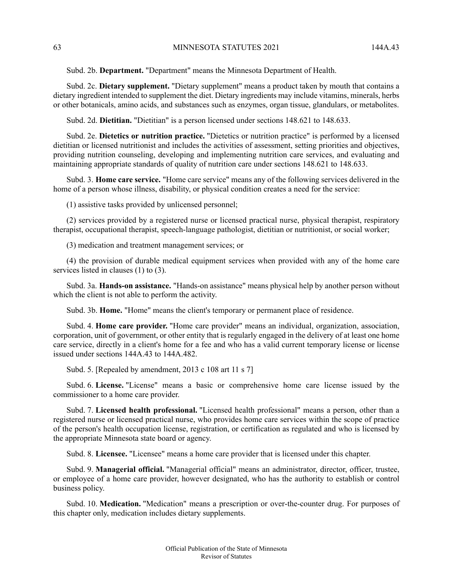Subd. 2b. **Department.** "Department" means the Minnesota Department of Health.

Subd. 2c. **Dietary supplement.** "Dietary supplement" means a product taken by mouth that contains a dietary ingredient intended to supplement the diet. Dietary ingredients may include vitamins, minerals, herbs or other botanicals, amino acids, and substances such as enzymes, organ tissue, glandulars, or metabolites.

Subd. 2d. **Dietitian.** "Dietitian" is a person licensed under sections 148.621 to 148.633.

Subd. 2e. **Dietetics or nutrition practice.** "Dietetics or nutrition practice" is performed by a licensed dietitian or licensed nutritionist and includes the activities of assessment, setting priorities and objectives, providing nutrition counseling, developing and implementing nutrition care services, and evaluating and maintaining appropriate standards of quality of nutrition care under sections 148.621 to 148.633.

Subd. 3. **Home care service.** "Home care service" means any of the following services delivered in the home of a person whose illness, disability, or physical condition creates a need for the service:

(1) assistive tasks provided by unlicensed personnel;

(2) services provided by a registered nurse or licensed practical nurse, physical therapist, respiratory therapist, occupational therapist, speech-language pathologist, dietitian or nutritionist, or social worker;

(3) medication and treatment management services; or

(4) the provision of durable medical equipment services when provided with any of the home care services listed in clauses (1) to (3).

Subd. 3a. **Hands-on assistance.** "Hands-on assistance" means physical help by another person without which the client is not able to perform the activity.

Subd. 3b. **Home.** "Home" means the client's temporary or permanent place of residence.

Subd. 4. **Home care provider.** "Home care provider" means an individual, organization, association, corporation, unit of government, or other entity that is regularly engaged in the delivery of at least one home care service, directly in a client's home for a fee and who has a valid current temporary license or license issued under sections 144A.43 to 144A.482.

Subd. 5. [Repealed by amendment, 2013 c 108 art 11 s 7]

Subd. 6. **License.** "License" means a basic or comprehensive home care license issued by the commissioner to a home care provider.

Subd. 7. **Licensed health professional.** "Licensed health professional" means a person, other than a registered nurse or licensed practical nurse, who provides home care services within the scope of practice of the person's health occupation license, registration, or certification as regulated and who is licensed by the appropriate Minnesota state board or agency.

Subd. 8. **Licensee.** "Licensee" means a home care provider that is licensed under this chapter.

Subd. 9. **Managerial official.** "Managerial official" means an administrator, director, officer, trustee, or employee of a home care provider, however designated, who has the authority to establish or control business policy.

Subd. 10. **Medication.** "Medication" means a prescription or over-the-counter drug. For purposes of this chapter only, medication includes dietary supplements.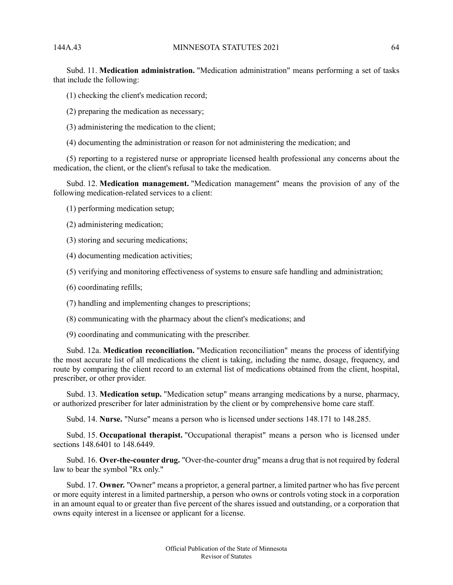Subd. 11. **Medication administration.** "Medication administration" means performing a set of tasks that include the following:

- (1) checking the client's medication record;
- (2) preparing the medication as necessary;
- (3) administering the medication to the client;
- (4) documenting the administration or reason for not administering the medication; and

(5) reporting to a registered nurse or appropriate licensed health professional any concerns about the medication, the client, or the client's refusal to take the medication.

Subd. 12. **Medication management.** "Medication management" means the provision of any of the following medication-related services to a client:

- (1) performing medication setup;
- (2) administering medication;
- (3) storing and securing medications;
- (4) documenting medication activities;
- (5) verifying and monitoring effectiveness of systems to ensure safe handling and administration;
- (6) coordinating refills;
- (7) handling and implementing changes to prescriptions;
- (8) communicating with the pharmacy about the client's medications; and
- (9) coordinating and communicating with the prescriber.

Subd. 12a. **Medication reconciliation.** "Medication reconciliation" means the process of identifying the most accurate list of all medications the client is taking, including the name, dosage, frequency, and route by comparing the client record to an external list of medications obtained from the client, hospital, prescriber, or other provider.

Subd. 13. **Medication setup.** "Medication setup" means arranging medications by a nurse, pharmacy, or authorized prescriber for later administration by the client or by comprehensive home care staff.

Subd. 14. **Nurse.** "Nurse" means a person who is licensed under sections 148.171 to 148.285.

Subd. 15. **Occupational therapist.** "Occupational therapist" means a person who is licensed under sections 148.6401 to 148.6449.

Subd. 16. **Over-the-counter drug.** "Over-the-counter drug" means a drug that is not required by federal law to bear the symbol "Rx only."

Subd. 17. **Owner.** "Owner" means a proprietor, a general partner, a limited partner who has five percent or more equity interest in a limited partnership, a person who owns or controls voting stock in a corporation in an amount equal to or greater than five percent of the shares issued and outstanding, or a corporation that owns equity interest in a licensee or applicant for a license.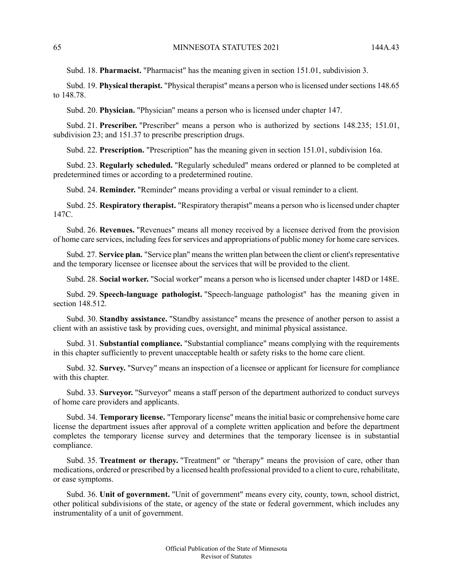Subd. 18. **Pharmacist.** "Pharmacist" has the meaning given in section 151.01, subdivision 3.

Subd. 19. **Physical therapist.** "Physical therapist" means a person who is licensed under sections 148.65 to 148.78.

Subd. 20. **Physician.** "Physician" means a person who is licensed under chapter 147.

Subd. 21. **Prescriber.** "Prescriber" means a person who is authorized by sections 148.235; 151.01, subdivision 23; and 151.37 to prescribe prescription drugs.

Subd. 22. **Prescription.** "Prescription" has the meaning given in section 151.01, subdivision 16a.

Subd. 23. **Regularly scheduled.** "Regularly scheduled" means ordered or planned to be completed at predetermined times or according to a predetermined routine.

Subd. 24. **Reminder.** "Reminder" means providing a verbal or visual reminder to a client.

Subd. 25. **Respiratory therapist.** "Respiratory therapist" means a person who is licensed under chapter 147C.

Subd. 26. **Revenues.** "Revenues" means all money received by a licensee derived from the provision of home care services, including feesforservices and appropriations of public money for home care services.

Subd. 27. **Service plan.** "Service plan" means the written plan between the client or client's representative and the temporary licensee or licensee about the services that will be provided to the client.

Subd. 28. **Social worker.** "Social worker" means a person who is licensed under chapter 148D or 148E.

Subd. 29. **Speech-language pathologist.** "Speech-language pathologist" has the meaning given in section 148.512.

Subd. 30. **Standby assistance.** "Standby assistance" means the presence of another person to assist a client with an assistive task by providing cues, oversight, and minimal physical assistance.

Subd. 31. **Substantial compliance.** "Substantial compliance" means complying with the requirements in this chapter sufficiently to prevent unacceptable health or safety risks to the home care client.

Subd. 32. **Survey.** "Survey" means an inspection of a licensee or applicant for licensure for compliance with this chapter.

Subd. 33. **Surveyor.** "Surveyor" means a staff person of the department authorized to conduct surveys of home care providers and applicants.

Subd. 34. **Temporary license.** "Temporary license" meansthe initial basic or comprehensive home care license the department issues after approval of a complete written application and before the department completes the temporary license survey and determines that the temporary licensee is in substantial compliance.

Subd. 35. **Treatment or therapy.** "Treatment" or "therapy" means the provision of care, other than medications, ordered or prescribed by a licensed health professional provided to a client to cure, rehabilitate, or ease symptoms.

Subd. 36. **Unit of government.** "Unit of government" means every city, county, town, school district, other political subdivisions of the state, or agency of the state or federal government, which includes any instrumentality of a unit of government.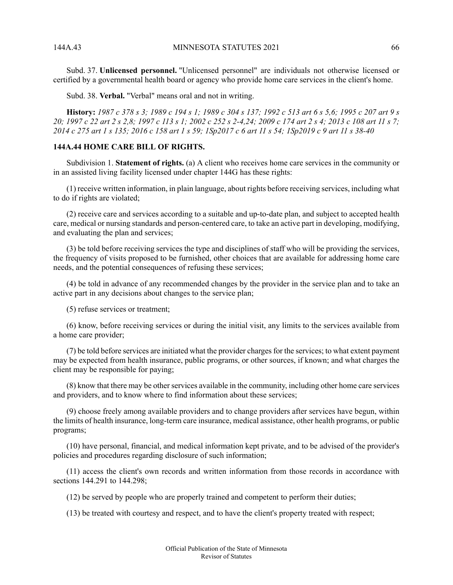Subd. 37. **Unlicensed personnel.** "Unlicensed personnel" are individuals not otherwise licensed or certified by a governmental health board or agency who provide home care services in the client's home.

Subd. 38. **Verbal.** "Verbal" means oral and not in writing.

History: 1987 c 378 s 3; 1989 c 194 s 1; 1989 c 304 s 137; 1992 c 513 art 6 s 5,6; 1995 c 207 art 9 s 20; 1997 c 22 art 2 s 2,8; 1997 c 113 s 1; 2002 c 252 s 2-4,24; 2009 c 174 art 2 s 4; 2013 c 108 art 11 s 7; 2014 c 275 art 1 s 135; 2016 c 158 art 1 s 59; 1Sp2017 c 6 art 11 s 54; 1Sp2019 c 9 art 11 s 38-40

## **144A.44 HOME CARE BILL OF RIGHTS.**

Subdivision 1. **Statement of rights.** (a) A client who receives home care services in the community or in an assisted living facility licensed under chapter 144G has these rights:

(1) receive written information, in plain language, about rights before receiving services, including what to do if rights are violated;

(2) receive care and services according to a suitable and up-to-date plan, and subject to accepted health care, medical or nursing standards and person-centered care, to take an active part in developing, modifying, and evaluating the plan and services;

(3) be told before receiving services the type and disciplines of staff who will be providing the services, the frequency of visits proposed to be furnished, other choices that are available for addressing home care needs, and the potential consequences of refusing these services;

(4) be told in advance of any recommended changes by the provider in the service plan and to take an active part in any decisions about changes to the service plan;

(5) refuse services or treatment;

(6) know, before receiving services or during the initial visit, any limits to the services available from a home care provider;

(7) be told before services are initiated what the provider chargesfor the services; to what extent payment may be expected from health insurance, public programs, or other sources, if known; and what charges the client may be responsible for paying;

 $(8)$  know that there may be other services available in the community, including other home care services and providers, and to know where to find information about these services;

(9) choose freely among available providers and to change providers after services have begun, within the limits of health insurance, long-term care insurance, medical assistance, other health programs, or public programs;

(10) have personal, financial, and medical information kept private, and to be advised of the provider's policies and procedures regarding disclosure of such information;

(11) access the client's own records and written information from those records in accordance with sections 144.291 to 144.298;

(12) be served by people who are properly trained and competent to perform their duties;

(13) be treated with courtesy and respect, and to have the client's property treated with respect;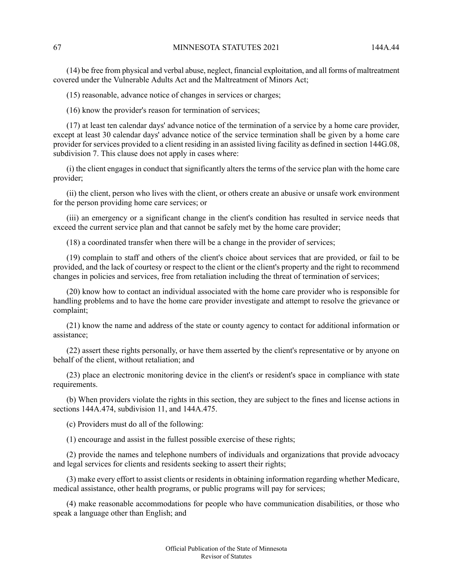(14) be free from physical and verbal abuse, neglect, financial exploitation, and all forms of maltreatment covered under the Vulnerable Adults Act and the Maltreatment of Minors Act;

(15) reasonable, advance notice of changes in services or charges;

(16) know the provider's reason for termination of services;

(17) at least ten calendar days' advance notice of the termination of a service by a home care provider, except at least 30 calendar days' advance notice of the service termination shall be given by a home care provider for services provided to a client residing in an assisted living facility as defined in section 144G.08, subdivision 7. This clause does not apply in cases where:

(i) the client engages in conduct that significantly alters the terms of the service plan with the home care provider;

(ii) the client, person who lives with the client, or others create an abusive or unsafe work environment for the person providing home care services; or

(iii) an emergency or a significant change in the client's condition has resulted in service needs that exceed the current service plan and that cannot be safely met by the home care provider;

(18) a coordinated transfer when there will be a change in the provider of services;

(19) complain to staff and others of the client's choice about services that are provided, or fail to be provided, and the lack of courtesy or respect to the client or the client's property and the right to recommend changes in policies and services, free from retaliation including the threat of termination of services;

(20) know how to contact an individual associated with the home care provider who is responsible for handling problems and to have the home care provider investigate and attempt to resolve the grievance or complaint;

(21) know the name and address of the state or county agency to contact for additional information or assistance;

(22) assert these rights personally, or have them asserted by the client's representative or by anyone on behalf of the client, without retaliation; and

(23) place an electronic monitoring device in the client's or resident's space in compliance with state requirements.

(b) When providers violate the rights in this section, they are subject to the fines and license actions in sections 144A.474, subdivision 11, and 144A.475.

(c) Providers must do all of the following:

(1) encourage and assist in the fullest possible exercise of these rights;

(2) provide the names and telephone numbers of individuals and organizations that provide advocacy and legal services for clients and residents seeking to assert their rights;

(3) make every effort to assist clients or residents in obtaining information regarding whether Medicare, medical assistance, other health programs, or public programs will pay for services;

(4) make reasonable accommodations for people who have communication disabilities, or those who speak a language other than English; and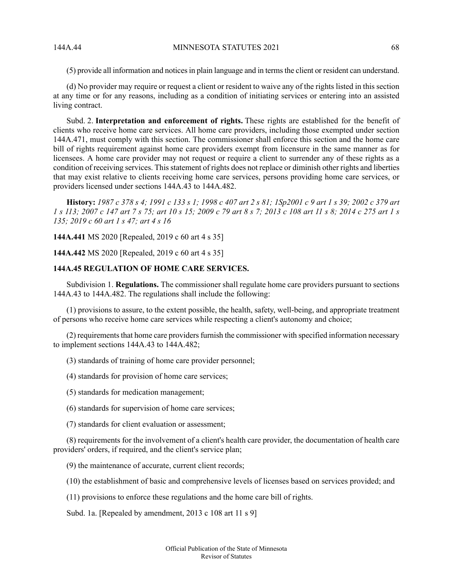(5) provide all information and noticesin plain language and in termsthe client or resident can understand.

(d) No provider may require or request a client or resident to waive any of the rights listed in this section at any time or for any reasons, including as a condition of initiating services or entering into an assisted living contract.

Subd. 2. **Interpretation and enforcement of rights.** These rights are established for the benefit of clients who receive home care services. All home care providers, including those exempted under section 144A.471, must comply with this section. The commissioner shall enforce this section and the home care bill of rights requirement against home care providers exempt from licensure in the same manner as for licensees. A home care provider may not request or require a client to surrender any of these rights as a condition of receiving services. This statement of rights does not replace or diminish other rights and liberties that may exist relative to clients receiving home care services, persons providing home care services, or providers licensed under sections 144A.43 to 144A.482.

History: 1987 c 378 s 4; 1991 c 133 s 1; 1998 c 407 art 2 s 81; 1Sp2001 c 9 art 1 s 39; 2002 c 379 art 1 s 113; 2007 c 147 art 7 s 75; art 10 s 15; 2009 c 79 art 8 s 7; 2013 c 108 art 11 s 8; 2014 c 275 art 1 s *135; 2019 c 60 art 1 s 47; art 4 s 16*

**144A.441** MS 2020 [Repealed, 2019 c 60 art 4 s 35]

**144A.442** MS 2020 [Repealed, 2019 c 60 art 4 s 35]

# **144A.45 REGULATION OF HOME CARE SERVICES.**

Subdivision 1. **Regulations.** The commissioner shall regulate home care providers pursuant to sections 144A.43 to 144A.482. The regulations shall include the following:

(1) provisions to assure, to the extent possible, the health, safety, well-being, and appropriate treatment of persons who receive home care services while respecting a client's autonomy and choice;

 $(2)$  requirements that home care providers furnish the commissioner with specified information necessary to implement sections 144A.43 to 144A.482;

(3) standards of training of home care provider personnel;

- (4) standards for provision of home care services;
- (5) standards for medication management;
- (6) standards for supervision of home care services;
- (7) standards for client evaluation or assessment;

(8) requirements for the involvement of a client's health care provider, the documentation of health care providers' orders, if required, and the client's service plan;

(9) the maintenance of accurate, current client records;

- (10) the establishment of basic and comprehensive levels of licenses based on services provided; and
- (11) provisions to enforce these regulations and the home care bill of rights.

Subd. 1a. [Repealed by amendment, 2013 c 108 art 11 s 9]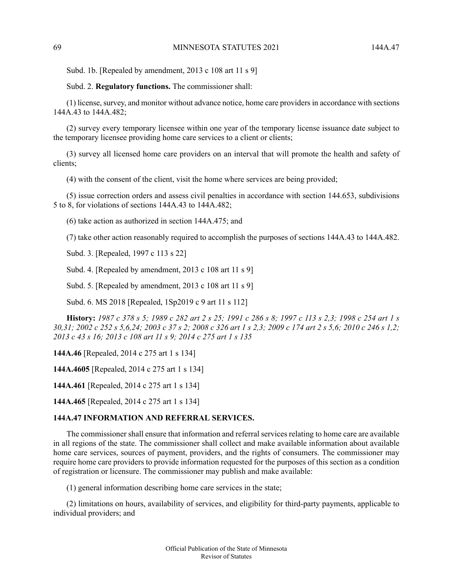Subd. 1b. [Repealed by amendment, 2013 c 108 art 11 s 9]

Subd. 2. **Regulatory functions.** The commissioner shall:

(1) license,survey, and monitor without advance notice, home care providersin accordance with sections 144A.43 to 144A.482;

(2) survey every temporary licensee within one year of the temporary license issuance date subject to the temporary licensee providing home care services to a client or clients;

(3) survey all licensed home care providers on an interval that will promote the health and safety of clients;

(4) with the consent of the client, visit the home where services are being provided;

(5) issue correction orders and assess civil penalties in accordance with section 144.653, subdivisions 5 to 8, for violations of sections 144A.43 to 144A.482;

(6) take action as authorized in section 144A.475; and

(7) take other action reasonably required to accomplish the purposes of sections 144A.43 to 144A.482.

Subd. 3. [Repealed, 1997 c 113 s 22]

Subd. 4. [Repealed by amendment, 2013 c 108 art 11 s 9]

Subd. 5. [Repealed by amendment, 2013 c 108 art 11 s 9]

Subd. 6. MS 2018 [Repealed, 1Sp2019 c 9 art 11 s 112]

History: 1987 c 378 s 5; 1989 c 282 art 2 s 25; 1991 c 286 s 8; 1997 c 113 s 2.3; 1998 c 254 art 1 s 30,31; 2002 c 252 s 5,6,24; 2003 c 37 s 2; 2008 c 326 art 1 s 2,3; 2009 c 174 art 2 s 5,6; 2010 c 246 s 1,2; *2013 c 43 s 16; 2013 c 108 art 11 s 9; 2014 c 275 art 1 s 135*

**144A.46** [Repealed, 2014 c 275 art 1 s 134]

**144A.4605** [Repealed, 2014 c 275 art 1 s 134]

**144A.461** [Repealed, 2014 c 275 art 1 s 134]

**144A.465** [Repealed, 2014 c 275 art 1 s 134]

### **144A.47 INFORMATION AND REFERRAL SERVICES.**

The commissioner shall ensure that information and referral services relating to home care are available in all regions of the state. The commissioner shall collect and make available information about available home care services, sources of payment, providers, and the rights of consumers. The commissioner may require home care providers to provide information requested for the purposes of this section as a condition of registration or licensure. The commissioner may publish and make available:

(1) general information describing home care services in the state;

(2) limitations on hours, availability of services, and eligibility for third-party payments, applicable to individual providers; and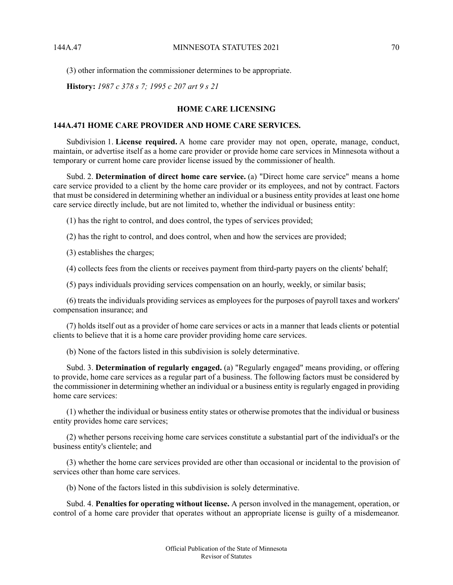(3) other information the commissioner determines to be appropriate.

**History:** *1987 c 378 s 7; 1995 c 207 art 9 s 21*

### **HOME CARE LICENSING**

## **144A.471 HOME CARE PROVIDER AND HOME CARE SERVICES.**

Subdivision 1. **License required.** A home care provider may not open, operate, manage, conduct, maintain, or advertise itself as a home care provider or provide home care services in Minnesota without a temporary or current home care provider license issued by the commissioner of health.

Subd. 2. **Determination of direct home care service.** (a) "Direct home care service" means a home care service provided to a client by the home care provider or its employees, and not by contract. Factors that must be considered in determining whether an individual or a business entity provides at least one home care service directly include, but are not limited to, whether the individual or business entity:

(1) has the right to control, and does control, the types of services provided;

(2) has the right to control, and does control, when and how the services are provided;

(3) establishes the charges;

(4) collects fees from the clients or receives payment from third-party payers on the clients' behalf;

(5) pays individuals providing services compensation on an hourly, weekly, or similar basis;

(6) treats the individuals providing services as employees for the purposes of payroll taxes and workers' compensation insurance; and

(7) holds itself out as a provider of home care services or acts in a manner that leads clients or potential clients to believe that it is a home care provider providing home care services.

(b) None of the factors listed in this subdivision is solely determinative.

Subd. 3. **Determination of regularly engaged.** (a) "Regularly engaged" means providing, or offering to provide, home care services as a regular part of a business. The following factors must be considered by the commissioner in determining whether an individual or a business entity is regularly engaged in providing home care services:

(1) whether the individual or business entity states or otherwise promotes that the individual or business entity provides home care services;

(2) whether persons receiving home care services constitute a substantial part of the individual's or the business entity's clientele; and

(3) whether the home care services provided are other than occasional or incidental to the provision of services other than home care services.

(b) None of the factors listed in this subdivision is solely determinative.

Subd. 4. **Penalties for operating without license.** A person involved in the management, operation, or control of a home care provider that operates without an appropriate license is guilty of a misdemeanor.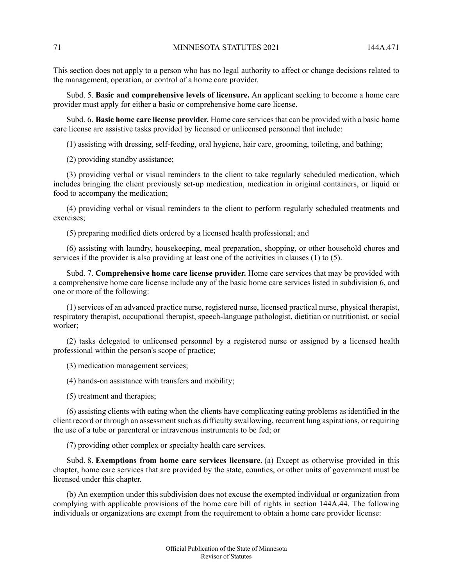This section does not apply to a person who has no legal authority to affect or change decisions related to the management, operation, or control of a home care provider.

Subd. 5. **Basic and comprehensive levels of licensure.** An applicant seeking to become a home care provider must apply for either a basic or comprehensive home care license.

Subd. 6. **Basic home care license provider.** Home care services that can be provided with a basic home care license are assistive tasks provided by licensed or unlicensed personnel that include:

(1) assisting with dressing, self-feeding, oral hygiene, hair care, grooming, toileting, and bathing;

(2) providing standby assistance;

(3) providing verbal or visual reminders to the client to take regularly scheduled medication, which includes bringing the client previously set-up medication, medication in original containers, or liquid or food to accompany the medication;

(4) providing verbal or visual reminders to the client to perform regularly scheduled treatments and exercises;

(5) preparing modified diets ordered by a licensed health professional; and

(6) assisting with laundry, housekeeping, meal preparation, shopping, or other household chores and services if the provider is also providing at least one of the activities in clauses (1) to (5).

Subd. 7. **Comprehensive home care license provider.** Home care services that may be provided with a comprehensive home care license include any of the basic home care services listed in subdivision 6, and one or more of the following:

(1) services of an advanced practice nurse, registered nurse, licensed practical nurse, physical therapist, respiratory therapist, occupational therapist, speech-language pathologist, dietitian or nutritionist, or social worker;

(2) tasks delegated to unlicensed personnel by a registered nurse or assigned by a licensed health professional within the person's scope of practice;

(3) medication management services;

(4) hands-on assistance with transfers and mobility;

(5) treatment and therapies;

(6) assisting clients with eating when the clients have complicating eating problems as identified in the client record or through an assessment such as difficulty swallowing, recurrent lung aspirations, or requiring the use of a tube or parenteral or intravenous instruments to be fed; or

(7) providing other complex or specialty health care services.

Subd. 8. **Exemptions from home care services licensure.** (a) Except as otherwise provided in this chapter, home care services that are provided by the state, counties, or other units of government must be licensed under this chapter.

(b) An exemption under this subdivision does not excuse the exempted individual or organization from complying with applicable provisions of the home care bill of rights in section 144A.44. The following individuals or organizations are exempt from the requirement to obtain a home care provider license: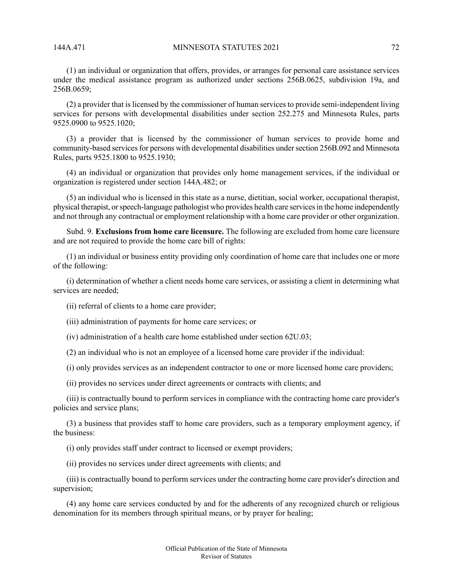(1) an individual or organization that offers, provides, or arranges for personal care assistance services under the medical assistance program as authorized under sections 256B.0625, subdivision 19a, and 256B.0659;

(2) a provider that islicensed by the commissioner of human servicesto provide semi-independent living services for persons with developmental disabilities under section 252.275 and Minnesota Rules, parts 9525.0900 to 9525.1020;

(3) a provider that is licensed by the commissioner of human services to provide home and community-based services for persons with developmental disabilities under section 256B.092 and Minnesota Rules, parts 9525.1800 to 9525.1930;

(4) an individual or organization that provides only home management services, if the individual or organization is registered under section 144A.482; or

(5) an individual who is licensed in this state as a nurse, dietitian, social worker, occupational therapist, physical therapist, orspeech-language pathologist who provides health care servicesin the home independently and not through any contractual or employment relationship with a home care provider or other organization.

Subd. 9. **Exclusions from home care licensure.** The following are excluded from home care licensure and are not required to provide the home care bill of rights:

(1) an individual or business entity providing only coordination of home care that includes one or more of the following:

(i) determination of whether a client needs home care services, or assisting a client in determining what services are needed;

(ii) referral of clients to a home care provider;

(iii) administration of payments for home care services; or

(iv) administration of a health care home established under section 62U.03;

(2) an individual who is not an employee of a licensed home care provider if the individual:

(i) only provides services as an independent contractor to one or more licensed home care providers;

(ii) provides no services under direct agreements or contracts with clients; and

(iii) is contractually bound to perform services in compliance with the contracting home care provider's policies and service plans;

(3) a business that provides staff to home care providers, such as a temporary employment agency, if the business:

(i) only provides staff under contract to licensed or exempt providers;

(ii) provides no services under direct agreements with clients; and

(iii) is contractually bound to perform services under the contracting home care provider's direction and supervision;

(4) any home care services conducted by and for the adherents of any recognized church or religious denomination for its members through spiritual means, or by prayer for healing;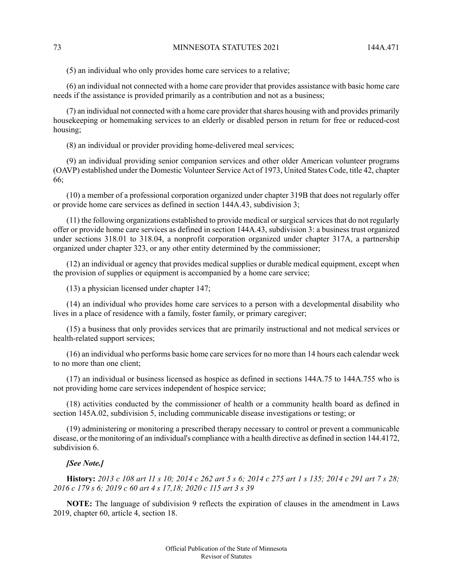(5) an individual who only provides home care services to a relative;

(6) an individual not connected with a home care provider that provides assistance with basic home care needs if the assistance is provided primarily as a contribution and not as a business;

(7) an individual not connected with a home care provider that shares housing with and provides primarily housekeeping or homemaking services to an elderly or disabled person in return for free or reduced-cost housing;

(8) an individual or provider providing home-delivered meal services;

(9) an individual providing senior companion services and other older American volunteer programs (OAVP) established under the Domestic Volunteer Service Act of 1973, United States Code, title 42, chapter 66;

(10) a member of a professional corporation organized under chapter 319B that does not regularly offer or provide home care services as defined in section 144A.43, subdivision 3;

(11) the following organizations established to provide medical or surgical services that do not regularly offer or provide home care services as defined in section 144A.43, subdivision 3: a business trust organized under sections 318.01 to 318.04, a nonprofit corporation organized under chapter 317A, a partnership organized under chapter 323, or any other entity determined by the commissioner;

(12) an individual or agency that provides medical supplies or durable medical equipment, except when the provision of supplies or equipment is accompanied by a home care service;

(13) a physician licensed under chapter 147;

(14) an individual who provides home care services to a person with a developmental disability who lives in a place of residence with a family, foster family, or primary caregiver;

(15) a business that only provides services that are primarily instructional and not medical services or health-related support services;

(16) an individual who performs basic home care servicesfor no more than 14 hours each calendar week to no more than one client;

(17) an individual or business licensed as hospice as defined in sections 144A.75 to 144A.755 who is not providing home care services independent of hospice service;

(18) activities conducted by the commissioner of health or a community health board as defined in section 145A.02, subdivision 5, including communicable disease investigations or testing; or

(19) administering or monitoring a prescribed therapy necessary to control or prevent a communicable disease, or the monitoring of an individual's compliance with a health directive as defined in section 144.4172, subdivision 6.

## *[See Note.]*

History: 2013 c 108 art 11 s 10; 2014 c 262 art 5 s 6; 2014 c 275 art 1 s 135; 2014 c 291 art 7 s 28; *2016 c 179 s 6; 2019 c 60 art 4 s 17,18; 2020 c 115 art 3 s 39*

**NOTE:** The language of subdivision 9 reflects the expiration of clauses in the amendment in Laws 2019, chapter 60, article 4, section 18.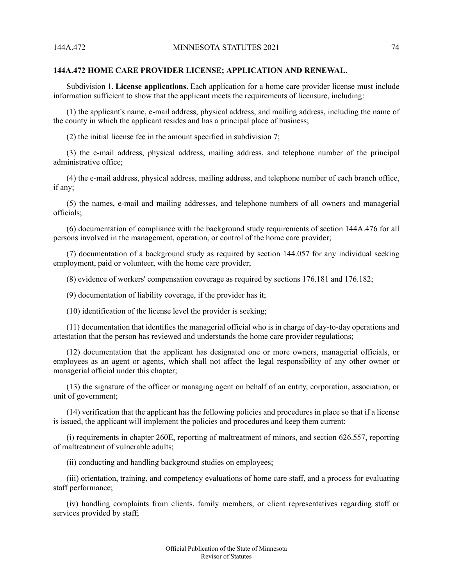### **144A.472 HOME CARE PROVIDER LICENSE; APPLICATION AND RENEWAL.**

Subdivision 1. **License applications.** Each application for a home care provider license must include information sufficient to show that the applicant meets the requirements of licensure, including:

(1) the applicant's name, e-mail address, physical address, and mailing address, including the name of the county in which the applicant resides and has a principal place of business;

(2) the initial license fee in the amount specified in subdivision 7;

(3) the e-mail address, physical address, mailing address, and telephone number of the principal administrative office;

(4) the e-mail address, physical address, mailing address, and telephone number of each branch office, if any;

(5) the names, e-mail and mailing addresses, and telephone numbers of all owners and managerial officials;

(6) documentation of compliance with the background study requirements of section 144A.476 for all persons involved in the management, operation, or control of the home care provider;

(7) documentation of a background study as required by section 144.057 for any individual seeking employment, paid or volunteer, with the home care provider;

(8) evidence of workers' compensation coverage as required by sections 176.181 and 176.182;

(9) documentation of liability coverage, if the provider has it;

(10) identification of the license level the provider is seeking;

(11) documentation that identifies the managerial official who is in charge of day-to-day operations and attestation that the person has reviewed and understands the home care provider regulations;

(12) documentation that the applicant has designated one or more owners, managerial officials, or employees as an agent or agents, which shall not affect the legal responsibility of any other owner or managerial official under this chapter;

(13) the signature of the officer or managing agent on behalf of an entity, corporation, association, or unit of government;

(14) verification that the applicant has the following policies and procedures in place so that if a license is issued, the applicant will implement the policies and procedures and keep them current:

(i) requirements in chapter 260E, reporting of maltreatment of minors, and section 626.557, reporting of maltreatment of vulnerable adults;

(ii) conducting and handling background studies on employees;

(iii) orientation, training, and competency evaluations of home care staff, and a process for evaluating staff performance;

(iv) handling complaints from clients, family members, or client representatives regarding staff or services provided by staff;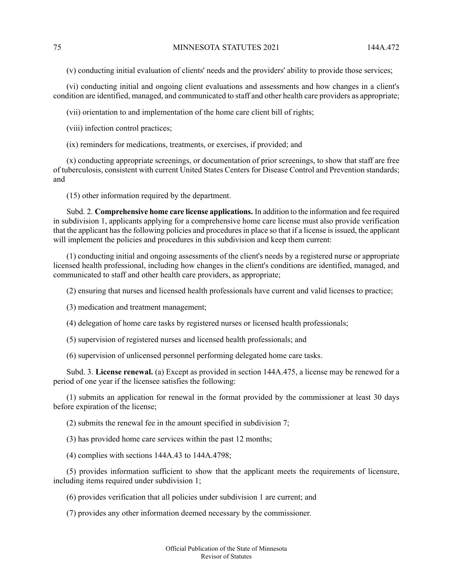(v) conducting initial evaluation of clients' needs and the providers' ability to provide those services;

(vi) conducting initial and ongoing client evaluations and assessments and how changes in a client's condition are identified, managed, and communicated to staff and other health care providers as appropriate;

(vii) orientation to and implementation of the home care client bill of rights;

(viii) infection control practices;

(ix) reminders for medications, treatments, or exercises, if provided; and

(x) conducting appropriate screenings, or documentation of prior screenings, to show that staff are free of tuberculosis, consistent with current United States Centers for Disease Control and Prevention standards; and

(15) other information required by the department.

Subd. 2. **Comprehensive home care license applications.** In addition to the information and fee required in subdivision 1, applicants applying for a comprehensive home care license must also provide verification that the applicant has the following policies and procedures in place so that if a license is issued, the applicant will implement the policies and procedures in this subdivision and keep them current:

(1) conducting initial and ongoing assessments of the client's needs by a registered nurse or appropriate licensed health professional, including how changes in the client's conditions are identified, managed, and communicated to staff and other health care providers, as appropriate;

(2) ensuring that nurses and licensed health professionals have current and valid licenses to practice;

(3) medication and treatment management;

(4) delegation of home care tasks by registered nurses or licensed health professionals;

(5) supervision of registered nurses and licensed health professionals; and

(6) supervision of unlicensed personnel performing delegated home care tasks.

Subd. 3. **License renewal.** (a) Except as provided in section 144A.475, a license may be renewed for a period of one year if the licensee satisfies the following:

(1) submits an application for renewal in the format provided by the commissioner at least 30 days before expiration of the license;

(2) submits the renewal fee in the amount specified in subdivision 7;

(3) has provided home care services within the past 12 months;

(4) complies with sections 144A.43 to 144A.4798;

(5) provides information sufficient to show that the applicant meets the requirements of licensure, including items required under subdivision 1;

(6) provides verification that all policies under subdivision 1 are current; and

(7) provides any other information deemed necessary by the commissioner.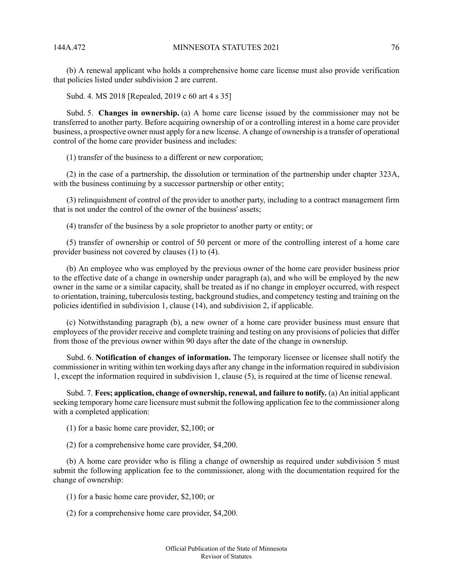(b) A renewal applicant who holds a comprehensive home care license must also provide verification that policies listed under subdivision 2 are current.

Subd. 4. MS 2018 [Repealed, 2019 c 60 art 4 s 35]

Subd. 5. **Changes in ownership.** (a) A home care license issued by the commissioner may not be transferred to another party. Before acquiring ownership of or a controlling interest in a home care provider business, a prospective owner must apply for a new license. A change of ownership is a transfer of operational control of the home care provider business and includes:

(1) transfer of the business to a different or new corporation;

(2) in the case of a partnership, the dissolution or termination of the partnership under chapter 323A, with the business continuing by a successor partnership or other entity;

(3) relinquishment of control of the provider to another party, including to a contract management firm that is not under the control of the owner of the business' assets;

(4) transfer of the business by a sole proprietor to another party or entity; or

(5) transfer of ownership or control of 50 percent or more of the controlling interest of a home care provider business not covered by clauses (1) to (4).

(b) An employee who was employed by the previous owner of the home care provider business prior to the effective date of a change in ownership under paragraph (a), and who will be employed by the new owner in the same or a similar capacity, shall be treated as if no change in employer occurred, with respect to orientation, training, tuberculosis testing, background studies, and competency testing and training on the policies identified in subdivision 1, clause (14), and subdivision 2, if applicable.

(c) Notwithstanding paragraph (b), a new owner of a home care provider business must ensure that employees of the provider receive and complete training and testing on any provisions of policies that differ from those of the previous owner within 90 days after the date of the change in ownership.

Subd. 6. **Notification of changes of information.** The temporary licensee or licensee shall notify the commissioner in writing within ten working days after any change in the information required in subdivision 1, except the information required in subdivision 1, clause (5), is required at the time of license renewal.

Subd. 7. **Fees; application, change of ownership, renewal, and failure to notify.** (a) An initial applicant seeking temporary home care licensure must submit the following application fee to the commissioner along with a completed application:

(1) for a basic home care provider, \$2,100; or

(2) for a comprehensive home care provider, \$4,200.

(b) A home care provider who is filing a change of ownership as required under subdivision 5 must submit the following application fee to the commissioner, along with the documentation required for the change of ownership:

(1) for a basic home care provider, \$2,100; or

(2) for a comprehensive home care provider, \$4,200.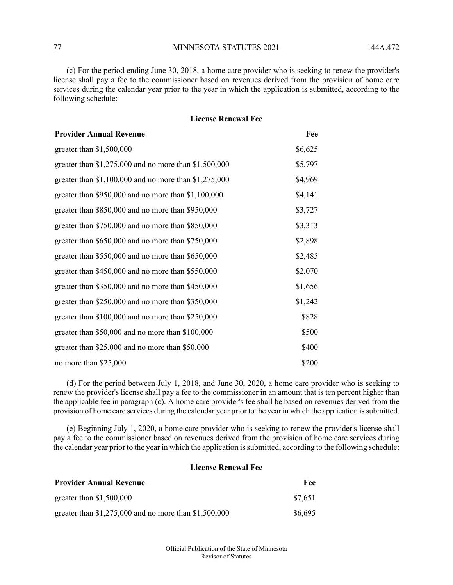77 MINNESOTA STATUTES 2021 144A.472

(c) For the period ending June 30, 2018, a home care provider who is seeking to renew the provider's license shall pay a fee to the commissioner based on revenues derived from the provision of home care services during the calendar year prior to the year in which the application is submitted, according to the following schedule:

### **License Renewal Fee**

| <b>Provider Annual Revenue</b>                          | Fee     |
|---------------------------------------------------------|---------|
| greater than $$1,500,000$                               | \$6,625 |
| greater than $$1,275,000$ and no more than $$1,500,000$ | \$5,797 |
| greater than $$1,100,000$ and no more than $$1,275,000$ | \$4,969 |
| greater than $$950,000$ and no more than $$1,100,000$   | \$4,141 |
| greater than \$850,000 and no more than \$950,000       | \$3,727 |
| greater than \$750,000 and no more than \$850,000       | \$3,313 |
| greater than \$650,000 and no more than \$750,000       | \$2,898 |
| greater than \$550,000 and no more than \$650,000       | \$2,485 |
| greater than \$450,000 and no more than \$550,000       | \$2,070 |
| greater than \$350,000 and no more than \$450,000       | \$1,656 |
| greater than \$250,000 and no more than \$350,000       | \$1,242 |
| greater than \$100,000 and no more than \$250,000       | \$828   |
| greater than \$50,000 and no more than \$100,000        | \$500   |
| greater than \$25,000 and no more than \$50,000         | \$400   |
| no more than \$25,000                                   | \$200   |

(d) For the period between July 1, 2018, and June 30, 2020, a home care provider who is seeking to renew the provider's license shall pay a fee to the commissioner in an amount that is ten percent higher than the applicable fee in paragraph (c). A home care provider's fee shall be based on revenues derived from the provision of home care services during the calendar year prior to the year in which the application is submitted.

(e) Beginning July 1, 2020, a home care provider who is seeking to renew the provider's license shall pay a fee to the commissioner based on revenues derived from the provision of home care services during the calendar year prior to the year in which the application is submitted, according to the following schedule:

# **License Renewal Fee**

| <b>Provider Annual Revenue</b>                          | Fee-    |
|---------------------------------------------------------|---------|
| greater than $$1,500,000$                               | \$7,651 |
| greater than $$1,275,000$ and no more than $$1,500,000$ | \$6,695 |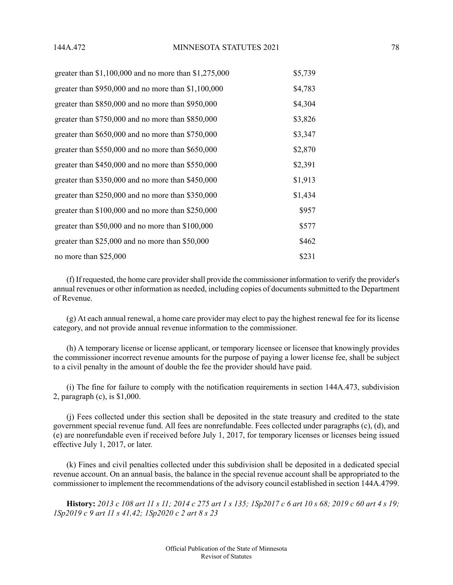| greater than $$1,100,000$ and no more than $$1,275,000$ | \$5,739 |
|---------------------------------------------------------|---------|
| greater than $$950,000$ and no more than $$1,100,000$   | \$4,783 |
| greater than \$850,000 and no more than \$950,000       | \$4,304 |
| greater than \$750,000 and no more than \$850,000       | \$3,826 |
| greater than $$650,000$ and no more than $$750,000$     | \$3,347 |
| greater than $$550,000$ and no more than $$650,000$     | \$2,870 |
| greater than $$450,000$ and no more than $$550,000$     | \$2,391 |
| greater than $$350,000$ and no more than $$450,000$     | \$1,913 |
| greater than $$250,000$ and no more than $$350,000$     | \$1,434 |
| greater than $$100,000$ and no more than $$250,000$     | \$957   |
| greater than $$50,000$ and no more than $$100,000$      | \$577   |
| greater than $$25,000$ and no more than $$50,000$       | \$462   |
| no more than \$25,000                                   | \$231   |

(f) If requested, the home care provider shall provide the commissioner information to verify the provider's annual revenues or other information as needed, including copies of documents submitted to the Department of Revenue.

(g) At each annual renewal, a home care provider may elect to pay the highest renewal fee for its license category, and not provide annual revenue information to the commissioner.

(h) A temporary license or license applicant, or temporary licensee or licensee that knowingly provides the commissioner incorrect revenue amounts for the purpose of paying a lower license fee, shall be subject to a civil penalty in the amount of double the fee the provider should have paid.

(i) The fine for failure to comply with the notification requirements in section 144A.473, subdivision 2, paragraph (c), is \$1,000.

(j) Fees collected under this section shall be deposited in the state treasury and credited to the state government special revenue fund. All fees are nonrefundable. Fees collected under paragraphs (c), (d), and (e) are nonrefundable even if received before July 1, 2017, for temporary licenses or licenses being issued effective July 1, 2017, or later.

(k) Fines and civil penalties collected under this subdivision shall be deposited in a dedicated special revenue account. On an annual basis, the balance in the special revenue account shall be appropriated to the commissioner to implement the recommendations of the advisory council established in section 144A.4799.

History: 2013 c 108 art 11 s 11; 2014 c 275 art 1 s 135; 1Sp2017 c 6 art 10 s 68; 2019 c 60 art 4 s 19; *1Sp2019 c 9 art 11 s 41,42; 1Sp2020 c 2 art 8 s 23*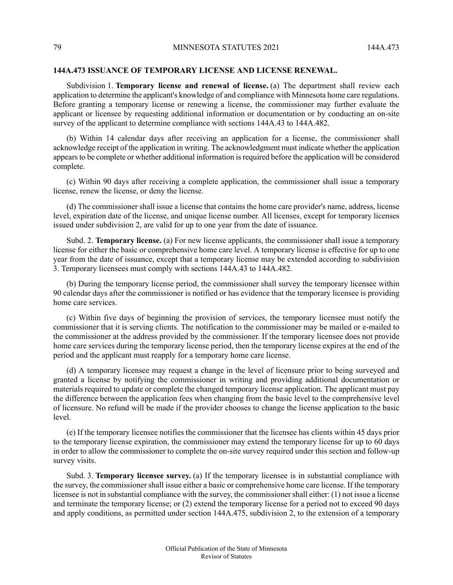## **144A.473 ISSUANCE OF TEMPORARY LICENSE AND LICENSE RENEWAL.**

Subdivision 1. **Temporary license and renewal of license.** (a) The department shall review each application to determine the applicant's knowledge of and compliance with Minnesota home care regulations. Before granting a temporary license or renewing a license, the commissioner may further evaluate the applicant or licensee by requesting additional information or documentation or by conducting an on-site survey of the applicant to determine compliance with sections 144A.43 to 144A.482.

(b) Within 14 calendar days after receiving an application for a license, the commissioner shall acknowledge receipt of the application in writing. The acknowledgment must indicate whether the application appears to be complete or whether additional information is required before the application will be considered complete.

(c) Within 90 days after receiving a complete application, the commissioner shall issue a temporary license, renew the license, or deny the license.

(d) The commissioner shall issue a license that contains the home care provider's name, address, license level, expiration date of the license, and unique license number. All licenses, except for temporary licenses issued under subdivision 2, are valid for up to one year from the date of issuance.

Subd. 2. **Temporary license.** (a) For new license applicants, the commissioner shall issue a temporary license for either the basic or comprehensive home care level. A temporary license is effective for up to one year from the date of issuance, except that a temporary license may be extended according to subdivision 3. Temporary licensees must comply with sections 144A.43 to 144A.482.

(b) During the temporary license period, the commissioner shall survey the temporary licensee within 90 calendar days after the commissioner is notified or has evidence that the temporary licensee is providing home care services.

(c) Within five days of beginning the provision of services, the temporary licensee must notify the commissioner that it is serving clients. The notification to the commissioner may be mailed or e-mailed to the commissioner at the address provided by the commissioner. If the temporary licensee does not provide home care services during the temporary license period, then the temporary license expires at the end of the period and the applicant must reapply for a temporary home care license.

(d) A temporary licensee may request a change in the level of licensure prior to being surveyed and granted a license by notifying the commissioner in writing and providing additional documentation or materials required to update or complete the changed temporary license application. The applicant must pay the difference between the application fees when changing from the basic level to the comprehensive level of licensure. No refund will be made if the provider chooses to change the license application to the basic level.

(e) If the temporary licensee notifies the commissioner that the licensee has clients within 45 days prior to the temporary license expiration, the commissioner may extend the temporary license for up to 60 days in order to allow the commissioner to complete the on-site survey required under this section and follow-up survey visits.

Subd. 3. **Temporary licensee survey.** (a) If the temporary licensee is in substantial compliance with the survey, the commissioner shall issue either a basic or comprehensive home care license. If the temporary licensee is not in substantial compliance with the survey, the commissionershall either: (1) not issue a license and terminate the temporary license; or (2) extend the temporary license for a period not to exceed 90 days and apply conditions, as permitted under section 144A.475, subdivision 2, to the extension of a temporary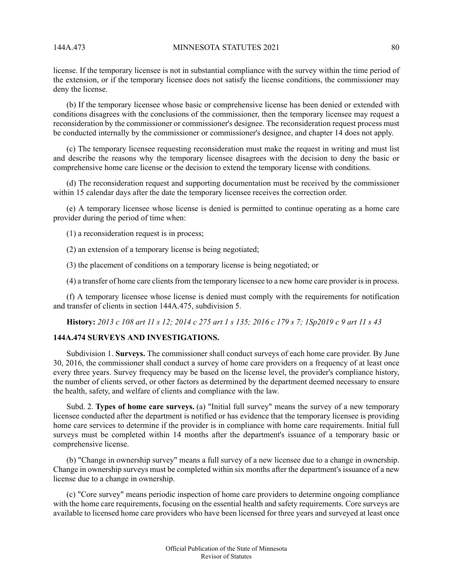license. If the temporary licensee is not in substantial compliance with the survey within the time period of the extension, or if the temporary licensee does not satisfy the license conditions, the commissioner may deny the license.

(b) If the temporary licensee whose basic or comprehensive license has been denied or extended with conditions disagrees with the conclusions of the commissioner, then the temporary licensee may request a reconsideration by the commissioner or commissioner's designee. The reconsideration request process must be conducted internally by the commissioner or commissioner's designee, and chapter 14 does not apply.

(c) The temporary licensee requesting reconsideration must make the request in writing and must list and describe the reasons why the temporary licensee disagrees with the decision to deny the basic or comprehensive home care license or the decision to extend the temporary license with conditions.

(d) The reconsideration request and supporting documentation must be received by the commissioner within 15 calendar days after the date the temporary licensee receives the correction order.

(e) A temporary licensee whose license is denied is permitted to continue operating as a home care provider during the period of time when:

(1) a reconsideration request is in process;

(2) an extension of a temporary license is being negotiated;

(3) the placement of conditions on a temporary license is being negotiated; or

(4) a transfer of home care clientsfrom the temporary licensee to a new home care provider isin process.

(f) A temporary licensee whose license is denied must comply with the requirements for notification and transfer of clients in section 144A.475, subdivision 5.

History: 2013 c 108 art 11 s 12; 2014 c 275 art 1 s 135; 2016 c 179 s 7; 1Sp2019 c 9 art 11 s 43

# **144A.474 SURVEYS AND INVESTIGATIONS.**

Subdivision 1. **Surveys.** The commissioner shall conduct surveys of each home care provider. By June 30, 2016, the commissioner shall conduct a survey of home care providers on a frequency of at least once every three years. Survey frequency may be based on the license level, the provider's compliance history, the number of clients served, or other factors as determined by the department deemed necessary to ensure the health, safety, and welfare of clients and compliance with the law.

Subd. 2. **Types of home care surveys.** (a) "Initial full survey" means the survey of a new temporary licensee conducted after the department is notified or has evidence that the temporary licensee is providing home care services to determine if the provider is in compliance with home care requirements. Initial full surveys must be completed within 14 months after the department's issuance of a temporary basic or comprehensive license.

(b) "Change in ownership survey" means a full survey of a new licensee due to a change in ownership. Change in ownership surveys must be completed within six months after the department's issuance of a new license due to a change in ownership.

(c) "Core survey" means periodic inspection of home care providers to determine ongoing compliance with the home care requirements, focusing on the essential health and safety requirements. Core surveys are available to licensed home care providers who have been licensed for three years and surveyed at least once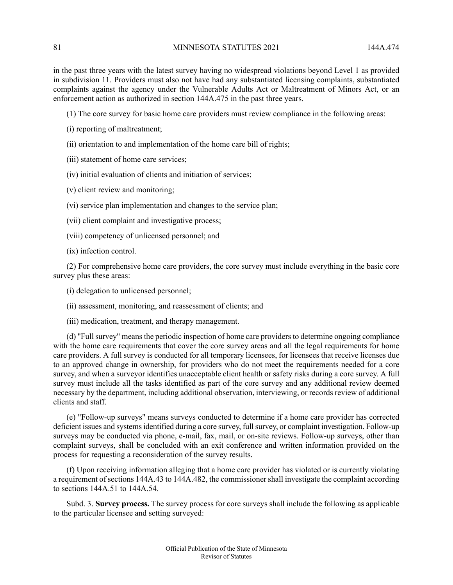in the past three years with the latest survey having no widespread violations beyond Level 1 as provided in subdivision 11. Providers must also not have had any substantiated licensing complaints, substantiated complaints against the agency under the Vulnerable Adults Act or Maltreatment of Minors Act, or an enforcement action as authorized in section 144A.475 in the past three years.

(1) The core survey for basic home care providers must review compliance in the following areas:

- (i) reporting of maltreatment;
- (ii) orientation to and implementation of the home care bill of rights;
- (iii) statement of home care services;
- (iv) initial evaluation of clients and initiation of services;
- (v) client review and monitoring;
- (vi) service plan implementation and changes to the service plan;
- (vii) client complaint and investigative process;
- (viii) competency of unlicensed personnel; and
- (ix) infection control.

(2) For comprehensive home care providers, the core survey must include everything in the basic core survey plus these areas:

(i) delegation to unlicensed personnel;

(ii) assessment, monitoring, and reassessment of clients; and

(iii) medication, treatment, and therapy management.

(d) "Fullsurvey" meansthe periodic inspection of home care providersto determine ongoing compliance with the home care requirements that cover the core survey areas and all the legal requirements for home care providers. A full survey is conducted for all temporary licensees, for licensees that receive licenses due to an approved change in ownership, for providers who do not meet the requirements needed for a core survey, and when a surveyor identifies unacceptable client health or safety risks during a core survey. A full survey must include all the tasks identified as part of the core survey and any additional review deemed necessary by the department, including additional observation, interviewing, or records review of additional clients and staff.

(e) "Follow-up surveys" means surveys conducted to determine if a home care provider has corrected deficient issues and systemsidentified during a core survey, fullsurvey, or complaint investigation. Follow-up surveys may be conducted via phone, e-mail, fax, mail, or on-site reviews. Follow-up surveys, other than complaint surveys, shall be concluded with an exit conference and written information provided on the process for requesting a reconsideration of the survey results.

(f) Upon receiving information alleging that a home care provider has violated or is currently violating a requirement of sections 144A.43 to 144A.482, the commissioner shall investigate the complaint according to sections 144A.51 to 144A.54.

Subd. 3. **Survey process.** The survey process for core surveys shall include the following as applicable to the particular licensee and setting surveyed: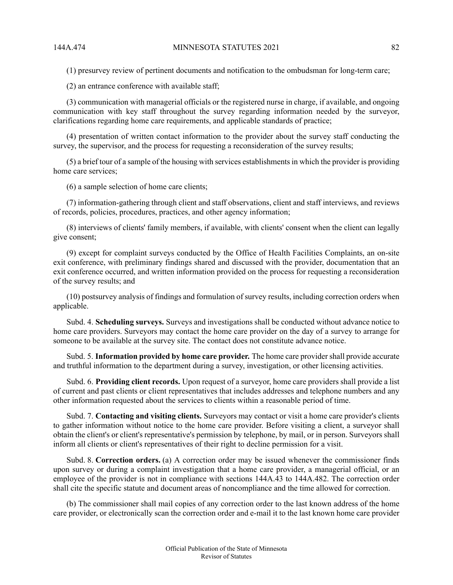(1) presurvey review of pertinent documents and notification to the ombudsman for long-term care;

(2) an entrance conference with available staff;

(3) communication with managerial officials or the registered nurse in charge, if available, and ongoing communication with key staff throughout the survey regarding information needed by the surveyor, clarifications regarding home care requirements, and applicable standards of practice;

(4) presentation of written contact information to the provider about the survey staff conducting the survey, the supervisor, and the process for requesting a reconsideration of the survey results;

(5) a brief tour of a sample of the housing with services establishmentsin which the provider is providing home care services;

(6) a sample selection of home care clients;

(7) information-gathering through client and staff observations, client and staff interviews, and reviews of records, policies, procedures, practices, and other agency information;

(8) interviews of clients' family members, if available, with clients' consent when the client can legally give consent;

(9) except for complaint surveys conducted by the Office of Health Facilities Complaints, an on-site exit conference, with preliminary findings shared and discussed with the provider, documentation that an exit conference occurred, and written information provided on the process for requesting a reconsideration of the survey results; and

(10) postsurvey analysis of findings and formulation of survey results, including correction orders when applicable.

Subd. 4. **Scheduling surveys.** Surveys and investigations shall be conducted without advance notice to home care providers. Surveyors may contact the home care provider on the day of a survey to arrange for someone to be available at the survey site. The contact does not constitute advance notice.

Subd. 5. **Information provided by home care provider.** The home care providershall provide accurate and truthful information to the department during a survey, investigation, or other licensing activities.

Subd. 6. **Providing client records.** Upon request of a surveyor, home care providers shall provide a list of current and past clients or client representatives that includes addresses and telephone numbers and any other information requested about the services to clients within a reasonable period of time.

Subd. 7. **Contacting and visiting clients.** Surveyors may contact or visit a home care provider's clients to gather information without notice to the home care provider. Before visiting a client, a surveyor shall obtain the client's or client's representative's permission by telephone, by mail, or in person. Surveyors shall inform all clients or client's representatives of their right to decline permission for a visit.

Subd. 8. **Correction orders.** (a) A correction order may be issued whenever the commissioner finds upon survey or during a complaint investigation that a home care provider, a managerial official, or an employee of the provider is not in compliance with sections 144A.43 to 144A.482. The correction order shall cite the specific statute and document areas of noncompliance and the time allowed for correction.

(b) The commissioner shall mail copies of any correction order to the last known address of the home care provider, or electronically scan the correction order and e-mail it to the last known home care provider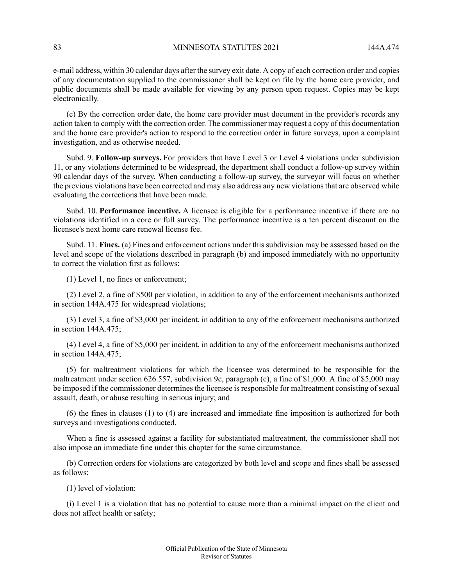e-mail address, within 30 calendar days after the survey exit date. A copy of each correction order and copies of any documentation supplied to the commissioner shall be kept on file by the home care provider, and public documents shall be made available for viewing by any person upon request. Copies may be kept electronically.

(c) By the correction order date, the home care provider must document in the provider's records any action taken to comply with the correction order. The commissioner may request a copy of this documentation and the home care provider's action to respond to the correction order in future surveys, upon a complaint investigation, and as otherwise needed.

Subd. 9. **Follow-up surveys.** For providers that have Level 3 or Level 4 violations under subdivision 11, or any violations determined to be widespread, the department shall conduct a follow-up survey within 90 calendar days of the survey. When conducting a follow-up survey, the surveyor will focus on whether the previous violations have been corrected and may also address any new violations that are observed while evaluating the corrections that have been made.

Subd. 10. **Performance incentive.** A licensee is eligible for a performance incentive if there are no violations identified in a core or full survey. The performance incentive is a ten percent discount on the licensee's next home care renewal license fee.

Subd. 11. **Fines.** (a) Fines and enforcement actions under this subdivision may be assessed based on the level and scope of the violations described in paragraph (b) and imposed immediately with no opportunity to correct the violation first as follows:

(1) Level 1, no fines or enforcement;

(2) Level 2, a fine of \$500 per violation, in addition to any of the enforcement mechanisms authorized in section 144A.475 for widespread violations;

(3) Level 3, a fine of \$3,000 per incident, in addition to any of the enforcement mechanisms authorized in section 144A.475;

(4) Level 4, a fine of \$5,000 per incident, in addition to any of the enforcement mechanisms authorized in section 144A.475;

(5) for maltreatment violations for which the licensee was determined to be responsible for the maltreatment under section 626.557, subdivision 9c, paragraph (c), a fine of \$1,000. A fine of \$5,000 may be imposed if the commissioner determines the licensee is responsible for maltreatment consisting of sexual assault, death, or abuse resulting in serious injury; and

(6) the fines in clauses (1) to (4) are increased and immediate fine imposition is authorized for both surveys and investigations conducted.

When a fine is assessed against a facility for substantiated maltreatment, the commissioner shall not also impose an immediate fine under this chapter for the same circumstance.

(b) Correction orders for violations are categorized by both level and scope and fines shall be assessed as follows:

(1) level of violation:

(i) Level 1 is a violation that has no potential to cause more than a minimal impact on the client and does not affect health or safety;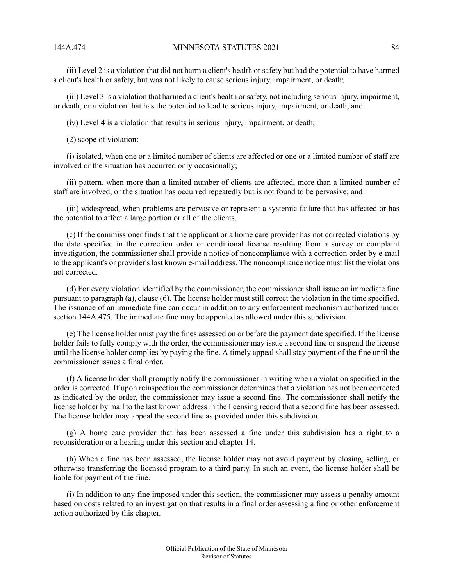(ii) Level 2 is a violation that did not harm a client's health or safety but had the potential to have harmed a client's health or safety, but was not likely to cause serious injury, impairment, or death;

(iii) Level 3 is a violation that harmed a client's health or safety, not including serious injury, impairment, or death, or a violation that has the potential to lead to serious injury, impairment, or death; and

(iv) Level 4 is a violation that results in serious injury, impairment, or death;

(2) scope of violation:

(i) isolated, when one or a limited number of clients are affected or one or a limited number of staff are involved or the situation has occurred only occasionally;

(ii) pattern, when more than a limited number of clients are affected, more than a limited number of staff are involved, or the situation has occurred repeatedly but is not found to be pervasive; and

(iii) widespread, when problems are pervasive or represent a systemic failure that has affected or has the potential to affect a large portion or all of the clients.

(c) If the commissioner finds that the applicant or a home care provider has not corrected violations by the date specified in the correction order or conditional license resulting from a survey or complaint investigation, the commissioner shall provide a notice of noncompliance with a correction order by e-mail to the applicant's or provider's last known e-mail address. The noncompliance notice must list the violations not corrected.

(d) For every violation identified by the commissioner, the commissioner shall issue an immediate fine pursuant to paragraph (a), clause (6). The license holder must still correct the violation in the time specified. The issuance of an immediate fine can occur in addition to any enforcement mechanism authorized under section 144A.475. The immediate fine may be appealed as allowed under this subdivision.

(e) The license holder must pay the fines assessed on or before the payment date specified. If the license holder fails to fully comply with the order, the commissioner may issue a second fine or suspend the license until the license holder complies by paying the fine. A timely appeal shall stay payment of the fine until the commissioner issues a final order.

(f) A license holder shall promptly notify the commissioner in writing when a violation specified in the order is corrected. If upon reinspection the commissioner determines that a violation has not been corrected as indicated by the order, the commissioner may issue a second fine. The commissioner shall notify the license holder by mail to the last known address in the licensing record that a second fine has been assessed. The license holder may appeal the second fine as provided under this subdivision.

(g) A home care provider that has been assessed a fine under this subdivision has a right to a reconsideration or a hearing under this section and chapter 14.

(h) When a fine has been assessed, the license holder may not avoid payment by closing, selling, or otherwise transferring the licensed program to a third party. In such an event, the license holder shall be liable for payment of the fine.

(i) In addition to any fine imposed under this section, the commissioner may assess a penalty amount based on costs related to an investigation that results in a final order assessing a fine or other enforcement action authorized by this chapter.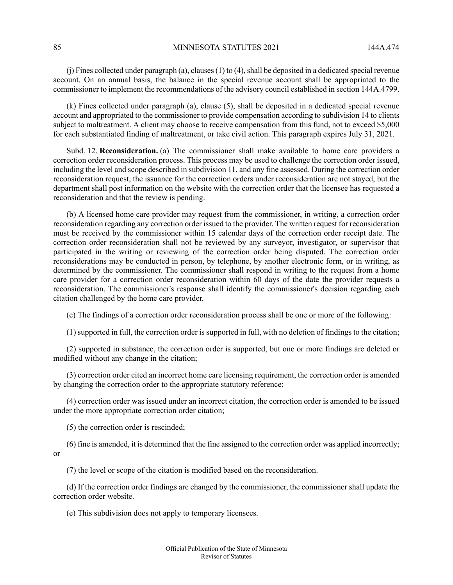85 MINNESOTA STATUTES 2021 144A 474

(j) Fines collected under paragraph (a), clauses (1) to (4), shall be deposited in a dedicated special revenue account. On an annual basis, the balance in the special revenue account shall be appropriated to the commissioner to implement the recommendations of the advisory council established in section 144A.4799.

(k) Fines collected under paragraph (a), clause (5), shall be deposited in a dedicated special revenue account and appropriated to the commissioner to provide compensation according to subdivision 14 to clients subject to maltreatment. A client may choose to receive compensation from this fund, not to exceed \$5,000 for each substantiated finding of maltreatment, or take civil action. This paragraph expires July 31, 2021.

Subd. 12. **Reconsideration.** (a) The commissioner shall make available to home care providers a correction order reconsideration process. This process may be used to challenge the correction order issued, including the level and scope described in subdivision 11, and any fine assessed. During the correction order reconsideration request, the issuance for the correction orders under reconsideration are not stayed, but the department shall post information on the website with the correction order that the licensee has requested a reconsideration and that the review is pending.

(b) A licensed home care provider may request from the commissioner, in writing, a correction order reconsideration regarding any correction order issued to the provider. The written request for reconsideration must be received by the commissioner within 15 calendar days of the correction order receipt date. The correction order reconsideration shall not be reviewed by any surveyor, investigator, or supervisor that participated in the writing or reviewing of the correction order being disputed. The correction order reconsiderations may be conducted in person, by telephone, by another electronic form, or in writing, as determined by the commissioner. The commissioner shall respond in writing to the request from a home care provider for a correction order reconsideration within 60 days of the date the provider requests a reconsideration. The commissioner's response shall identify the commissioner's decision regarding each citation challenged by the home care provider.

(c) The findings of a correction order reconsideration process shall be one or more of the following:

(1) supported in full, the correction order is supported in full, with no deletion of findings to the citation;

(2) supported in substance, the correction order is supported, but one or more findings are deleted or modified without any change in the citation;

(3) correction order cited an incorrect home care licensing requirement, the correction order is amended by changing the correction order to the appropriate statutory reference;

(4) correction order was issued under an incorrect citation, the correction order is amended to be issued under the more appropriate correction order citation;

(5) the correction order is rescinded;

(6) fine is amended, it is determined that the fine assigned to the correction order was applied incorrectly; or

(7) the level or scope of the citation is modified based on the reconsideration.

(d) If the correction order findings are changed by the commissioner, the commissioner shall update the correction order website.

(e) This subdivision does not apply to temporary licensees.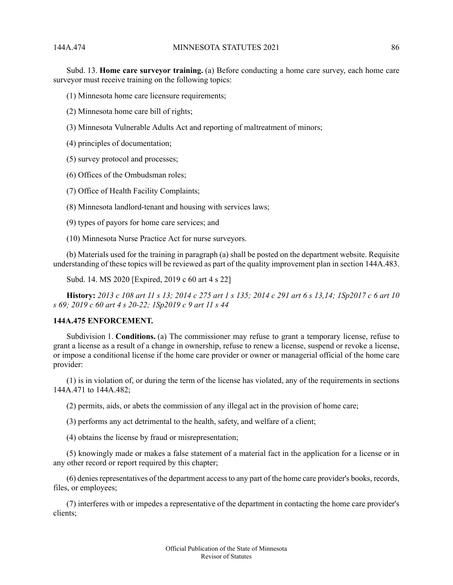Subd. 13. **Home care surveyor training.** (a) Before conducting a home care survey, each home care surveyor must receive training on the following topics:

(1) Minnesota home care licensure requirements;

- (2) Minnesota home care bill of rights;
- (3) Minnesota Vulnerable Adults Act and reporting of maltreatment of minors;
- (4) principles of documentation;
- (5) survey protocol and processes;
- (6) Offices of the Ombudsman roles;
- (7) Office of Health Facility Complaints;

(8) Minnesota landlord-tenant and housing with services laws;

- (9) types of payors for home care services; and
- (10) Minnesota Nurse Practice Act for nurse surveyors.

(b) Materials used for the training in paragraph (a) shall be posted on the department website. Requisite understanding of these topics will be reviewed as part of the quality improvement plan in section 144A.483.

Subd. 14. MS 2020 [Expired, 2019 c 60 art 4 s 22]

History: 2013 c 108 art 11 s 13; 2014 c 275 art 1 s 135; 2014 c 291 art 6 s 13,14; 1Sp2017 c 6 art 10 *s 69; 2019 c 60 art 4 s 20-22; 1Sp2019 c 9 art 11 s 44*

## **144A.475 ENFORCEMENT.**

Subdivision 1. **Conditions.** (a) The commissioner may refuse to grant a temporary license, refuse to grant a license as a result of a change in ownership, refuse to renew a license, suspend or revoke a license, or impose a conditional license if the home care provider or owner or managerial official of the home care provider:

(1) is in violation of, or during the term of the license has violated, any of the requirements in sections 144A.471 to 144A.482;

(2) permits, aids, or abets the commission of any illegal act in the provision of home care;

(3) performs any act detrimental to the health, safety, and welfare of a client;

(4) obtains the license by fraud or misrepresentation;

(5) knowingly made or makes a false statement of a material fact in the application for a license or in any other record or report required by this chapter;

(6) denies representatives of the department access to any part of the home care provider's books, records, files, or employees;

(7) interferes with or impedes a representative of the department in contacting the home care provider's clients;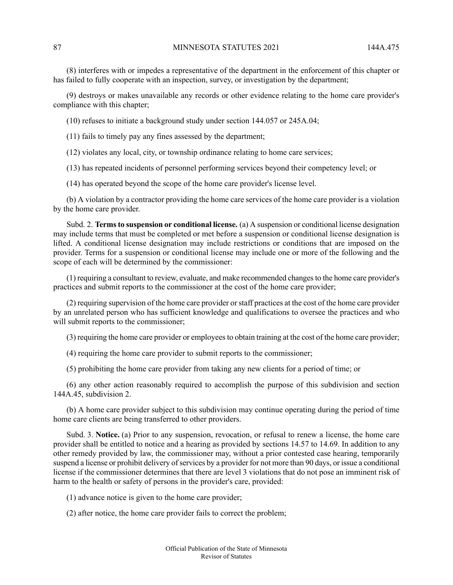(8) interferes with or impedes a representative of the department in the enforcement of this chapter or has failed to fully cooperate with an inspection, survey, or investigation by the department;

(9) destroys or makes unavailable any records or other evidence relating to the home care provider's compliance with this chapter;

(10) refuses to initiate a background study under section 144.057 or 245A.04;

(11) fails to timely pay any fines assessed by the department;

(12) violates any local, city, or township ordinance relating to home care services;

(13) has repeated incidents of personnel performing services beyond their competency level; or

(14) has operated beyond the scope of the home care provider's license level.

(b) A violation by a contractor providing the home care services of the home care provider is a violation by the home care provider.

Subd. 2. **Termsto suspension or conditional license.** (a) A suspension or conditional license designation may include terms that must be completed or met before a suspension or conditional license designation is lifted. A conditional license designation may include restrictions or conditions that are imposed on the provider. Terms for a suspension or conditional license may include one or more of the following and the scope of each will be determined by the commissioner:

(1) requiring a consultant to review, evaluate, and make recommended changesto the home care provider's practices and submit reports to the commissioner at the cost of the home care provider;

(2) requiring supervision of the home care provider orstaff practices at the cost of the home care provider by an unrelated person who has sufficient knowledge and qualifications to oversee the practices and who will submit reports to the commissioner;

(3) requiring the home care provider or employeesto obtain training at the cost of the home care provider;

(4) requiring the home care provider to submit reports to the commissioner;

(5) prohibiting the home care provider from taking any new clients for a period of time; or

(6) any other action reasonably required to accomplish the purpose of this subdivision and section 144A.45, subdivision 2.

(b) A home care provider subject to this subdivision may continue operating during the period of time home care clients are being transferred to other providers.

Subd. 3. **Notice.** (a) Prior to any suspension, revocation, or refusal to renew a license, the home care provider shall be entitled to notice and a hearing as provided by sections 14.57 to 14.69. In addition to any other remedy provided by law, the commissioner may, without a prior contested case hearing, temporarily suspend a license or prohibit delivery of services by a provider for not more than 90 days, or issue a conditional license if the commissioner determines that there are level 3 violations that do not pose an imminent risk of harm to the health or safety of persons in the provider's care, provided:

(1) advance notice is given to the home care provider;

(2) after notice, the home care provider fails to correct the problem;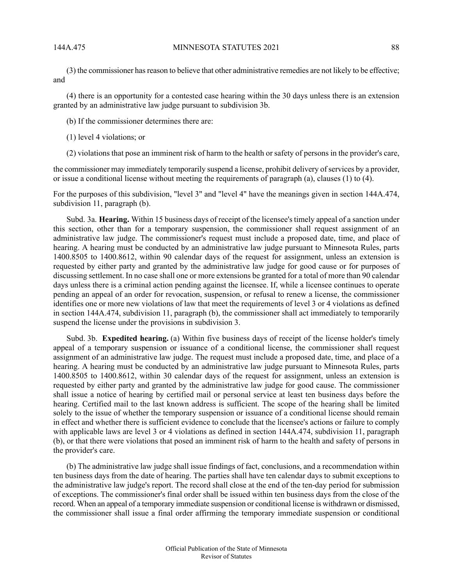(3) the commissioner hasreason to believe that other administrative remedies are not likely to be effective; and

(4) there is an opportunity for a contested case hearing within the 30 days unless there is an extension granted by an administrative law judge pursuant to subdivision 3b.

(b) If the commissioner determines there are:

- (1) level 4 violations; or
- (2) violations that pose an imminent risk of harm to the health or safety of persons in the provider's care,

the commissioner may immediately temporarily suspend a license, prohibit delivery of services by a provider, or issue a conditional license without meeting the requirements of paragraph (a), clauses (1) to (4).

For the purposes of this subdivision, "level 3" and "level 4" have the meanings given in section 144A.474, subdivision 11, paragraph (b).

Subd. 3a. **Hearing.** Within 15 business days of receipt of the licensee's timely appeal of a sanction under this section, other than for a temporary suspension, the commissioner shall request assignment of an administrative law judge. The commissioner's request must include a proposed date, time, and place of hearing. A hearing must be conducted by an administrative law judge pursuant to Minnesota Rules, parts 1400.8505 to 1400.8612, within 90 calendar days of the request for assignment, unless an extension is requested by either party and granted by the administrative law judge for good cause or for purposes of discussing settlement. In no case shall one or more extensions be granted for a total of more than 90 calendar days unless there is a criminal action pending against the licensee. If, while a licensee continues to operate pending an appeal of an order for revocation, suspension, or refusal to renew a license, the commissioner identifies one or more new violations of law that meet the requirements of level 3 or 4 violations as defined in section 144A.474, subdivision 11, paragraph (b), the commissioner shall act immediately to temporarily suspend the license under the provisions in subdivision 3.

Subd. 3b. **Expedited hearing.** (a) Within five business days of receipt of the license holder's timely appeal of a temporary suspension or issuance of a conditional license, the commissioner shall request assignment of an administrative law judge. The request must include a proposed date, time, and place of a hearing. A hearing must be conducted by an administrative law judge pursuant to Minnesota Rules, parts 1400.8505 to 1400.8612, within 30 calendar days of the request for assignment, unless an extension is requested by either party and granted by the administrative law judge for good cause. The commissioner shall issue a notice of hearing by certified mail or personal service at least ten business days before the hearing. Certified mail to the last known address is sufficient. The scope of the hearing shall be limited solely to the issue of whether the temporary suspension or issuance of a conditional license should remain in effect and whether there is sufficient evidence to conclude that the licensee's actions or failure to comply with applicable laws are level 3 or 4 violations as defined in section 144A.474, subdivision 11, paragraph (b), or that there were violations that posed an imminent risk of harm to the health and safety of persons in the provider's care.

(b) The administrative law judge shall issue findings of fact, conclusions, and a recommendation within ten business days from the date of hearing. The parties shall have ten calendar days to submit exceptions to the administrative law judge's report. The record shall close at the end of the ten-day period for submission of exceptions. The commissioner's final order shall be issued within ten business days from the close of the record. When an appeal of a temporary immediate suspension or conditional license is withdrawn or dismissed, the commissioner shall issue a final order affirming the temporary immediate suspension or conditional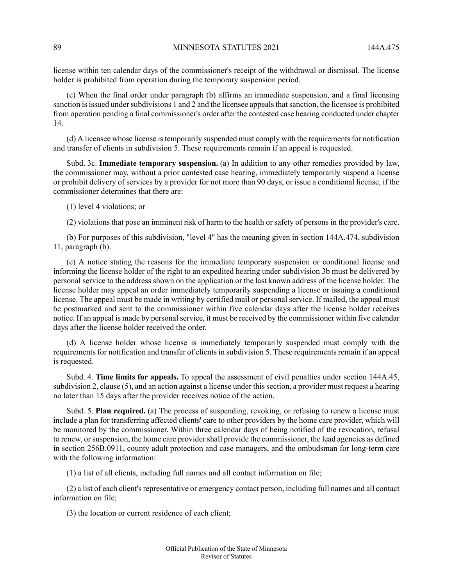license within ten calendar days of the commissioner's receipt of the withdrawal or dismissal. The license holder is prohibited from operation during the temporary suspension period.

(c) When the final order under paragraph (b) affirms an immediate suspension, and a final licensing sanction is issued under subdivisions 1 and 2 and the licensee appeals that sanction, the licensee is prohibited from operation pending a final commissioner's order after the contested case hearing conducted under chapter 14.

(d) A licensee whose license istemporarily suspended must comply with the requirementsfor notification and transfer of clients in subdivision 5. These requirements remain if an appeal is requested.

Subd. 3c. **Immediate temporary suspension.** (a) In addition to any other remedies provided by law, the commissioner may, without a prior contested case hearing, immediately temporarily suspend a license or prohibit delivery of services by a provider for not more than 90 days, or issue a conditional license, if the commissioner determines that there are:

(1) level 4 violations; or

(2) violations that pose an imminent risk of harm to the health or safety of persons in the provider's care.

(b) For purposes of this subdivision, "level 4" has the meaning given in section 144A.474, subdivision 11, paragraph (b).

(c) A notice stating the reasons for the immediate temporary suspension or conditional license and informing the license holder of the right to an expedited hearing under subdivision 3b must be delivered by personal service to the address shown on the application or the last known address of the license holder. The license holder may appeal an order immediately temporarily suspending a license or issuing a conditional license. The appeal must be made in writing by certified mail or personal service. If mailed, the appeal must be postmarked and sent to the commissioner within five calendar days after the license holder receives notice. If an appeal is made by personalservice, it must be received by the commissioner within five calendar days after the license holder received the order.

(d) A license holder whose license is immediately temporarily suspended must comply with the requirements for notification and transfer of clients in subdivision 5. These requirements remain if an appeal is requested.

Subd. 4. **Time limits for appeals.** To appeal the assessment of civil penalties under section 144A.45, subdivision 2, clause (5), and an action against a license under this section, a provider must request a hearing no later than 15 days after the provider receives notice of the action.

Subd. 5. **Plan required.** (a) The process of suspending, revoking, or refusing to renew a license must include a plan for transferring affected clients' care to other providers by the home care provider, which will be monitored by the commissioner. Within three calendar days of being notified of the revocation, refusal to renew, or suspension, the home care provider shall provide the commissioner, the lead agencies as defined in section 256B.0911, county adult protection and case managers, and the ombudsman for long-term care with the following information:

(1) a list of all clients, including full names and all contact information on file;

(2) a list of each client'srepresentative or emergency contact person, including full names and all contact information on file;

(3) the location or current residence of each client;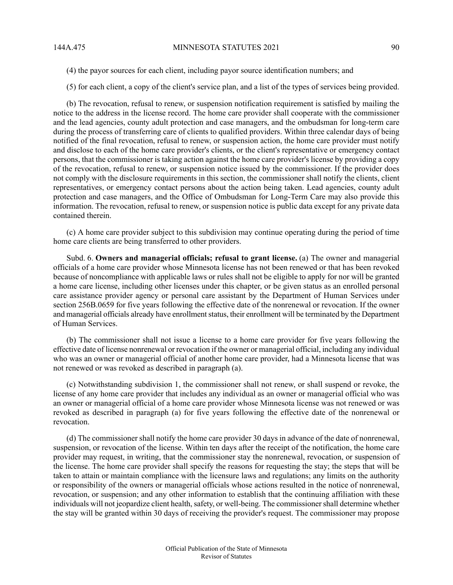(4) the payor sources for each client, including payor source identification numbers; and

(5) for each client, a copy of the client's service plan, and a list of the types of services being provided.

(b) The revocation, refusal to renew, or suspension notification requirement is satisfied by mailing the notice to the address in the license record. The home care provider shall cooperate with the commissioner and the lead agencies, county adult protection and case managers, and the ombudsman for long-term care during the process of transferring care of clients to qualified providers. Within three calendar days of being notified of the final revocation, refusal to renew, or suspension action, the home care provider must notify and disclose to each of the home care provider's clients, or the client's representative or emergency contact persons, that the commissioner is taking action against the home care provider's license by providing a copy of the revocation, refusal to renew, or suspension notice issued by the commissioner. If the provider does not comply with the disclosure requirements in this section, the commissioner shall notify the clients, client representatives, or emergency contact persons about the action being taken. Lead agencies, county adult protection and case managers, and the Office of Ombudsman for Long-Term Care may also provide this information. The revocation, refusal to renew, or suspension notice is public data except for any private data contained therein.

(c) A home care provider subject to this subdivision may continue operating during the period of time home care clients are being transferred to other providers.

Subd. 6. **Owners and managerial officials; refusal to grant license.** (a) The owner and managerial officials of a home care provider whose Minnesota license has not been renewed or that has been revoked because of noncompliance with applicable laws or rules shall not be eligible to apply for nor will be granted a home care license, including other licenses under this chapter, or be given status as an enrolled personal care assistance provider agency or personal care assistant by the Department of Human Services under section 256B.0659 for five years following the effective date of the nonrenewal or revocation. If the owner and managerial officials already have enrollment status, their enrollment will be terminated by the Department of Human Services.

(b) The commissioner shall not issue a license to a home care provider for five years following the effective date of license nonrenewal or revocation if the owner or managerial official, including any individual who was an owner or managerial official of another home care provider, had a Minnesota license that was not renewed or was revoked as described in paragraph (a).

(c) Notwithstanding subdivision 1, the commissioner shall not renew, or shall suspend or revoke, the license of any home care provider that includes any individual as an owner or managerial official who was an owner or managerial official of a home care provider whose Minnesota license was not renewed or was revoked as described in paragraph (a) for five years following the effective date of the nonrenewal or revocation.

(d) The commissioner shall notify the home care provider 30 days in advance of the date of nonrenewal, suspension, or revocation of the license. Within ten days after the receipt of the notification, the home care provider may request, in writing, that the commissioner stay the nonrenewal, revocation, or suspension of the license. The home care provider shall specify the reasons for requesting the stay; the steps that will be taken to attain or maintain compliance with the licensure laws and regulations; any limits on the authority or responsibility of the owners or managerial officials whose actions resulted in the notice of nonrenewal, revocation, or suspension; and any other information to establish that the continuing affiliation with these individuals will not jeopardize client health, safety, or well-being. The commissioner shall determine whether the stay will be granted within 30 days of receiving the provider's request. The commissioner may propose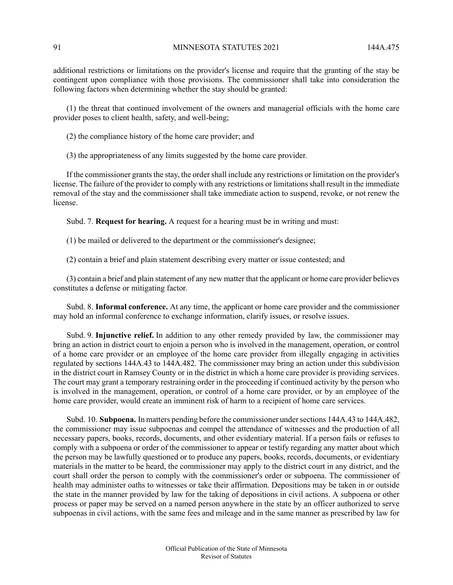additional restrictions or limitations on the provider's license and require that the granting of the stay be contingent upon compliance with those provisions. The commissioner shall take into consideration the following factors when determining whether the stay should be granted:

(1) the threat that continued involvement of the owners and managerial officials with the home care provider poses to client health, safety, and well-being;

(2) the compliance history of the home care provider; and

(3) the appropriateness of any limits suggested by the home care provider.

If the commissioner grants the stay, the order shall include any restrictions or limitation on the provider's license. The failure of the provider to comply with any restrictions or limitations shall result in the immediate removal of the stay and the commissioner shall take immediate action to suspend, revoke, or not renew the license.

Subd. 7. **Request for hearing.** A request for a hearing must be in writing and must:

(1) be mailed or delivered to the department or the commissioner's designee;

(2) contain a brief and plain statement describing every matter or issue contested; and

(3) contain a brief and plain statement of any new matter that the applicant or home care provider believes constitutes a defense or mitigating factor.

Subd. 8. **Informal conference.** At any time, the applicant or home care provider and the commissioner may hold an informal conference to exchange information, clarify issues, or resolve issues.

Subd. 9. **Injunctive relief.** In addition to any other remedy provided by law, the commissioner may bring an action in district court to enjoin a person who is involved in the management, operation, or control of a home care provider or an employee of the home care provider from illegally engaging in activities regulated by sections 144A.43 to 144A.482. The commissioner may bring an action under this subdivision in the district court in Ramsey County or in the district in which a home care provider is providing services. The court may grant a temporary restraining order in the proceeding if continued activity by the person who is involved in the management, operation, or control of a home care provider, or by an employee of the home care provider, would create an imminent risk of harm to a recipient of home care services.

Subd. 10. **Subpoena.** In matters pending before the commissioner undersections 144A.43 to 144A.482, the commissioner may issue subpoenas and compel the attendance of witnesses and the production of all necessary papers, books, records, documents, and other evidentiary material. If a person fails or refuses to comply with a subpoena or order of the commissioner to appear or testify regarding any matter about which the person may be lawfully questioned or to produce any papers, books, records, documents, or evidentiary materials in the matter to be heard, the commissioner may apply to the district court in any district, and the court shall order the person to comply with the commissioner's order or subpoena. The commissioner of health may administer oaths to witnesses or take their affirmation. Depositions may be taken in or outside the state in the manner provided by law for the taking of depositions in civil actions. A subpoena or other process or paper may be served on a named person anywhere in the state by an officer authorized to serve subpoenas in civil actions, with the same fees and mileage and in the same manner as prescribed by law for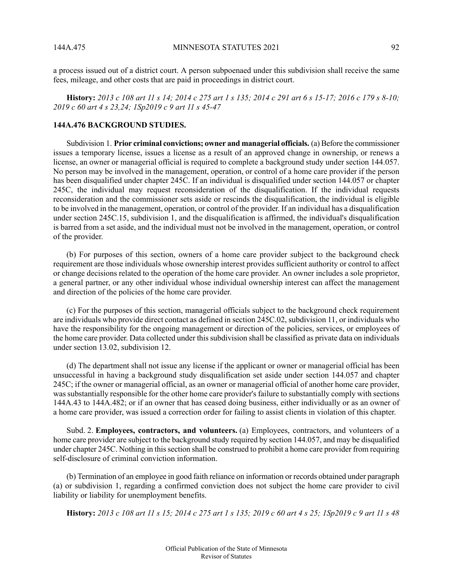a process issued out of a district court. A person subpoenaed under this subdivision shall receive the same fees, mileage, and other costs that are paid in proceedings in district court.

History: 2013 c 108 art 11 s 14; 2014 c 275 art 1 s 135; 2014 c 291 art 6 s 15-17; 2016 c 179 s 8-10; *2019 c 60 art 4 s 23,24; 1Sp2019 c 9 art 11 s 45-47*

### **144A.476 BACKGROUND STUDIES.**

Subdivision 1. **Prior criminal convictions; owner and managerial officials.** (a) Before the commissioner issues a temporary license, issues a license as a result of an approved change in ownership, or renews a license, an owner or managerial official is required to complete a background study under section 144.057. No person may be involved in the management, operation, or control of a home care provider if the person has been disqualified under chapter 245C. If an individual is disqualified under section 144.057 or chapter 245C, the individual may request reconsideration of the disqualification. If the individual requests reconsideration and the commissioner sets aside or rescinds the disqualification, the individual is eligible to be involved in the management, operation, or control of the provider. If an individual has a disqualification under section 245C.15, subdivision 1, and the disqualification is affirmed, the individual's disqualification is barred from a set aside, and the individual must not be involved in the management, operation, or control of the provider.

(b) For purposes of this section, owners of a home care provider subject to the background check requirement are those individuals whose ownership interest provides sufficient authority or control to affect or change decisions related to the operation of the home care provider. An owner includes a sole proprietor, a general partner, or any other individual whose individual ownership interest can affect the management and direction of the policies of the home care provider.

(c) For the purposes of this section, managerial officials subject to the background check requirement are individuals who provide direct contact as defined in section 245C.02, subdivision 11, or individuals who have the responsibility for the ongoing management or direction of the policies, services, or employees of the home care provider. Data collected under this subdivision shall be classified as private data on individuals under section 13.02, subdivision 12.

(d) The department shall not issue any license if the applicant or owner or managerial official has been unsuccessful in having a background study disqualification set aside under section 144.057 and chapter 245C; if the owner or managerial official, as an owner or managerial official of another home care provider, was substantially responsible for the other home care provider's failure to substantially comply with sections 144A.43 to 144A.482; or if an owner that has ceased doing business, either individually or as an owner of a home care provider, was issued a correction order for failing to assist clients in violation of this chapter.

Subd. 2. **Employees, contractors, and volunteers.** (a) Employees, contractors, and volunteers of a home care provider are subject to the background study required by section 144.057, and may be disqualified under chapter 245C. Nothing in thissection shall be construed to prohibit a home care provider from requiring self-disclosure of criminal conviction information.

(b) Termination of an employee in good faith reliance on information or records obtained under paragraph (a) or subdivision 1, regarding a confirmed conviction does not subject the home care provider to civil liability or liability for unemployment benefits.

History: 2013 c 108 art 11 s 15; 2014 c 275 art 1 s 135; 2019 c 60 art 4 s 25; 1Sp2019 c 9 art 11 s 48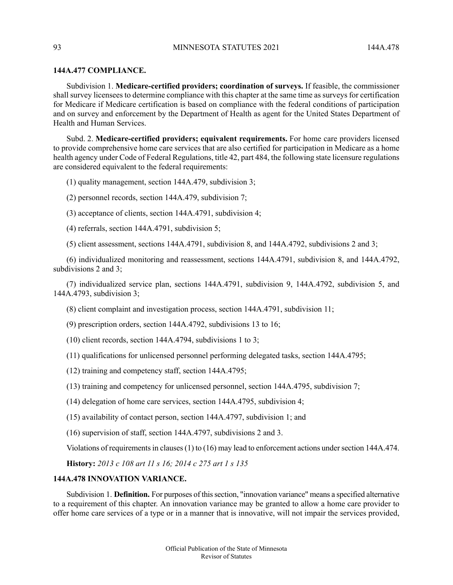### 93 MINNESOTA STATUTES 2021 144A 478

### **144A.477 COMPLIANCE.**

Subdivision 1. **Medicare-certified providers; coordination of surveys.** If feasible, the commissioner shall survey licensees to determine compliance with this chapter at the same time as surveys for certification for Medicare if Medicare certification is based on compliance with the federal conditions of participation and on survey and enforcement by the Department of Health as agent for the United States Department of Health and Human Services.

Subd. 2. **Medicare-certified providers; equivalent requirements.** For home care providers licensed to provide comprehensive home care services that are also certified for participation in Medicare as a home health agency under Code of Federal Regulations, title 42, part 484, the following state licensure regulations are considered equivalent to the federal requirements:

(1) quality management, section 144A.479, subdivision 3;

- (2) personnel records, section 144A.479, subdivision 7;
- (3) acceptance of clients, section 144A.4791, subdivision 4;
- (4) referrals, section 144A.4791, subdivision 5;
- (5) client assessment, sections 144A.4791, subdivision 8, and 144A.4792, subdivisions 2 and 3;

(6) individualized monitoring and reassessment, sections 144A.4791, subdivision 8, and 144A.4792, subdivisions 2 and 3;

(7) individualized service plan, sections 144A.4791, subdivision 9, 144A.4792, subdivision 5, and 144A.4793, subdivision 3;

(8) client complaint and investigation process, section 144A.4791, subdivision 11;

(9) prescription orders, section 144A.4792, subdivisions 13 to 16;

- (10) client records, section 144A.4794, subdivisions 1 to 3;
- (11) qualifications for unlicensed personnel performing delegated tasks, section 144A.4795;
- (12) training and competency staff, section 144A.4795;
- (13) training and competency for unlicensed personnel, section 144A.4795, subdivision 7;
- (14) delegation of home care services, section 144A.4795, subdivision 4;
- (15) availability of contact person, section 144A.4797, subdivision 1; and
- (16) supervision of staff, section 144A.4797, subdivisions 2 and 3.

Violations of requirements in clauses (1) to (16) may lead to enforcement actions under section 144A.474.

**History:** *2013 c 108 art 11 s 16; 2014 c 275 art 1 s 135*

# **144A.478 INNOVATION VARIANCE.**

Subdivision 1. **Definition.** For purposes of thissection, "innovation variance" means a specified alternative to a requirement of this chapter. An innovation variance may be granted to allow a home care provider to offer home care services of a type or in a manner that is innovative, will not impair the services provided,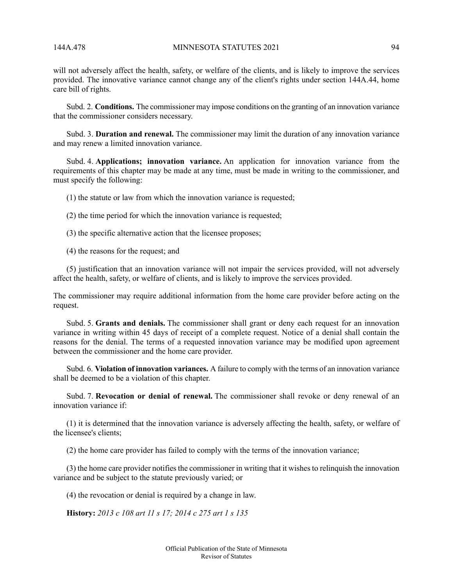will not adversely affect the health, safety, or welfare of the clients, and is likely to improve the services provided. The innovative variance cannot change any of the client's rights under section 144A.44, home care bill of rights.

Subd. 2. **Conditions.** The commissioner may impose conditions on the granting of an innovation variance that the commissioner considers necessary.

Subd. 3. **Duration and renewal.** The commissioner may limit the duration of any innovation variance and may renew a limited innovation variance.

Subd. 4. **Applications; innovation variance.** An application for innovation variance from the requirements of this chapter may be made at any time, must be made in writing to the commissioner, and must specify the following:

(1) the statute or law from which the innovation variance is requested;

(2) the time period for which the innovation variance is requested;

- (3) the specific alternative action that the licensee proposes;
- (4) the reasons for the request; and

(5) justification that an innovation variance will not impair the services provided, will not adversely affect the health, safety, or welfare of clients, and is likely to improve the services provided.

The commissioner may require additional information from the home care provider before acting on the request.

Subd. 5. **Grants and denials.** The commissioner shall grant or deny each request for an innovation variance in writing within 45 days of receipt of a complete request. Notice of a denial shall contain the reasons for the denial. The terms of a requested innovation variance may be modified upon agreement between the commissioner and the home care provider.

Subd. 6. **Violation of innovation variances.** A failure to comply with the terms of an innovation variance shall be deemed to be a violation of this chapter.

Subd. 7. **Revocation or denial of renewal.** The commissioner shall revoke or deny renewal of an innovation variance if:

(1) it is determined that the innovation variance is adversely affecting the health, safety, or welfare of the licensee's clients;

(2) the home care provider has failed to comply with the terms of the innovation variance;

 $(3)$  the home care provider notifies the commissioner in writing that it wishes to relinquish the innovation variance and be subject to the statute previously varied; or

(4) the revocation or denial is required by a change in law.

**History:** *2013 c 108 art 11 s 17; 2014 c 275 art 1 s 135*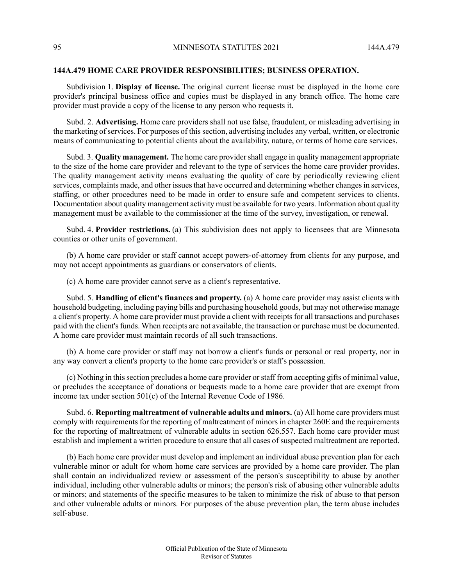### **144A.479 HOME CARE PROVIDER RESPONSIBILITIES; BUSINESS OPERATION.**

Subdivision 1. **Display of license.** The original current license must be displayed in the home care provider's principal business office and copies must be displayed in any branch office. The home care provider must provide a copy of the license to any person who requests it.

Subd. 2. **Advertising.** Home care providers shall not use false, fraudulent, or misleading advertising in the marketing of services. For purposes of this section, advertising includes any verbal, written, or electronic means of communicating to potential clients about the availability, nature, or terms of home care services.

Subd. 3. **Quality management.** The home care providershall engage in quality management appropriate to the size of the home care provider and relevant to the type of services the home care provider provides. The quality management activity means evaluating the quality of care by periodically reviewing client services, complaints made, and other issues that have occurred and determining whether changes in services, staffing, or other procedures need to be made in order to ensure safe and competent services to clients. Documentation about quality management activity must be available for two years. Information about quality management must be available to the commissioner at the time of the survey, investigation, or renewal.

Subd. 4. **Provider restrictions.** (a) This subdivision does not apply to licensees that are Minnesota counties or other units of government.

(b) A home care provider or staff cannot accept powers-of-attorney from clients for any purpose, and may not accept appointments as guardians or conservators of clients.

(c) A home care provider cannot serve as a client's representative.

Subd. 5. **Handling of client's finances and property.** (a) A home care provider may assist clients with household budgeting, including paying bills and purchasing household goods, but may not otherwise manage a client's property. A home care provider must provide a client with receipts for all transactions and purchases paid with the client's funds. When receipts are not available, the transaction or purchase must be documented. A home care provider must maintain records of all such transactions.

(b) A home care provider or staff may not borrow a client's funds or personal or real property, nor in any way convert a client's property to the home care provider's or staff's possession.

(c) Nothing in thissection precludes a home care provider orstaff from accepting gifts of minimal value, or precludes the acceptance of donations or bequests made to a home care provider that are exempt from income tax under section 501(c) of the Internal Revenue Code of 1986.

Subd. 6. **Reporting maltreatment of vulnerable adults and minors.** (a) All home care providers must comply with requirements for the reporting of maltreatment of minors in chapter 260E and the requirements for the reporting of maltreatment of vulnerable adults in section 626.557. Each home care provider must establish and implement a written procedure to ensure that all cases of suspected maltreatment are reported.

(b) Each home care provider must develop and implement an individual abuse prevention plan for each vulnerable minor or adult for whom home care services are provided by a home care provider. The plan shall contain an individualized review or assessment of the person's susceptibility to abuse by another individual, including other vulnerable adults or minors; the person's risk of abusing other vulnerable adults or minors; and statements of the specific measures to be taken to minimize the risk of abuse to that person and other vulnerable adults or minors. For purposes of the abuse prevention plan, the term abuse includes self-abuse.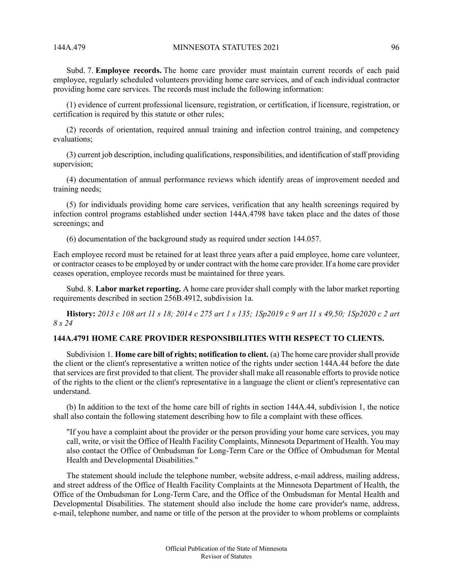Subd. 7. **Employee records.** The home care provider must maintain current records of each paid employee, regularly scheduled volunteers providing home care services, and of each individual contractor providing home care services. The records must include the following information:

(1) evidence of current professional licensure, registration, or certification, if licensure, registration, or certification is required by this statute or other rules;

(2) records of orientation, required annual training and infection control training, and competency evaluations;

(3) current job description, including qualifications, responsibilities, and identification of staff providing supervision;

(4) documentation of annual performance reviews which identify areas of improvement needed and training needs;

(5) for individuals providing home care services, verification that any health screenings required by infection control programs established under section 144A.4798 have taken place and the dates of those screenings; and

(6) documentation of the background study as required under section 144.057.

Each employee record must be retained for at least three years after a paid employee, home care volunteer, or contractor ceasesto be employed by or under contract with the home care provider. If a home care provider ceases operation, employee records must be maintained for three years.

Subd. 8. **Labor market reporting.** A home care provider shall comply with the labor market reporting requirements described in section 256B.4912, subdivision 1a.

History: 2013 c 108 art 11 s 18; 2014 c 275 art 1 s 135; 1Sp2019 c 9 art 11 s 49,50; 1Sp2020 c 2 art *8 s 24*

## **144A.4791 HOME CARE PROVIDER RESPONSIBILITIES WITH RESPECT TO CLIENTS.**

Subdivision 1. **Home care bill of rights; notification to client.** (a) The home care providershall provide the client or the client's representative a written notice of the rights under section 144A.44 before the date that services are first provided to that client. The provider shall make all reasonable efforts to provide notice of the rights to the client or the client's representative in a language the client or client's representative can understand.

(b) In addition to the text of the home care bill of rights in section 144A.44, subdivision 1, the notice shall also contain the following statement describing how to file a complaint with these offices.

"If you have a complaint about the provider or the person providing your home care services, you may call, write, or visit the Office of Health Facility Complaints, Minnesota Department of Health. You may also contact the Office of Ombudsman for Long-Term Care or the Office of Ombudsman for Mental Health and Developmental Disabilities."

The statement should include the telephone number, website address, e-mail address, mailing address, and street address of the Office of Health Facility Complaints at the Minnesota Department of Health, the Office of the Ombudsman for Long-Term Care, and the Office of the Ombudsman for Mental Health and Developmental Disabilities. The statement should also include the home care provider's name, address, e-mail, telephone number, and name or title of the person at the provider to whom problems or complaints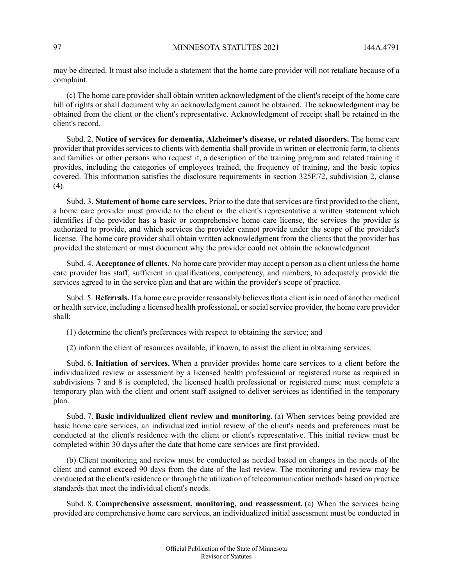may be directed. It must also include a statement that the home care provider will not retaliate because of a complaint.

(c) The home care provider shall obtain written acknowledgment of the client's receipt of the home care bill of rights or shall document why an acknowledgment cannot be obtained. The acknowledgment may be obtained from the client or the client's representative. Acknowledgment of receipt shall be retained in the client's record.

Subd. 2. **Notice of services for dementia, Alzheimer's disease, or related disorders.** The home care provider that provides services to clients with dementia shall provide in written or electronic form, to clients and families or other persons who request it, a description of the training program and related training it provides, including the categories of employees trained, the frequency of training, and the basic topics covered. This information satisfies the disclosure requirements in section 325F.72, subdivision 2, clause  $(4)$ .

Subd. 3. **Statement of home care services.** Prior to the date that services are first provided to the client, a home care provider must provide to the client or the client's representative a written statement which identifies if the provider has a basic or comprehensive home care license, the services the provider is authorized to provide, and which services the provider cannot provide under the scope of the provider's license. The home care provider shall obtain written acknowledgment from the clients that the provider has provided the statement or must document why the provider could not obtain the acknowledgment.

Subd. 4. **Acceptance of clients.** No home care provider may accept a person as a client unless the home care provider has staff, sufficient in qualifications, competency, and numbers, to adequately provide the services agreed to in the service plan and that are within the provider's scope of practice.

Subd. 5. **Referrals.** If a home care provider reasonably believes that a client is in need of another medical or health service, including a licensed health professional, or social service provider, the home care provider shall:

(1) determine the client's preferences with respect to obtaining the service; and

(2) inform the client of resources available, if known, to assist the client in obtaining services.

Subd. 6. **Initiation of services.** When a provider provides home care services to a client before the individualized review or assessment by a licensed health professional or registered nurse as required in subdivisions 7 and 8 is completed, the licensed health professional or registered nurse must complete a temporary plan with the client and orient staff assigned to deliver services as identified in the temporary plan.

Subd. 7. **Basic individualized client review and monitoring.** (a) When services being provided are basic home care services, an individualized initial review of the client's needs and preferences must be conducted at the client's residence with the client or client's representative. This initial review must be completed within 30 days after the date that home care services are first provided.

(b) Client monitoring and review must be conducted as needed based on changes in the needs of the client and cannot exceed 90 days from the date of the last review. The monitoring and review may be conducted at the client's residence or through the utilization of telecommunication methods based on practice standards that meet the individual client's needs.

Subd. 8. **Comprehensive assessment, monitoring, and reassessment.** (a) When the services being provided are comprehensive home care services, an individualized initial assessment must be conducted in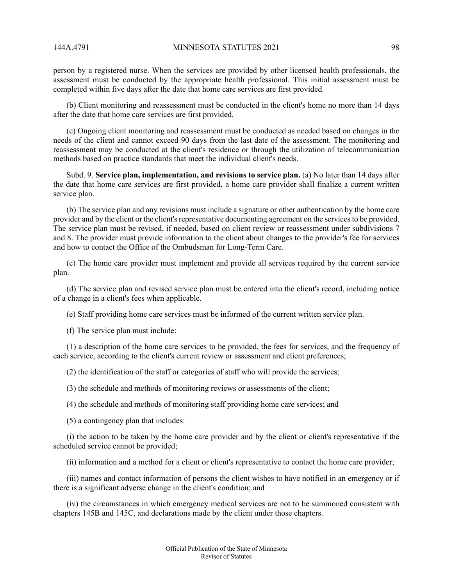person by a registered nurse. When the services are provided by other licensed health professionals, the assessment must be conducted by the appropriate health professional. This initial assessment must be completed within five days after the date that home care services are first provided.

(b) Client monitoring and reassessment must be conducted in the client's home no more than 14 days after the date that home care services are first provided.

(c) Ongoing client monitoring and reassessment must be conducted as needed based on changes in the needs of the client and cannot exceed 90 days from the last date of the assessment. The monitoring and reassessment may be conducted at the client's residence or through the utilization of telecommunication methods based on practice standards that meet the individual client's needs.

Subd. 9. **Service plan, implementation, and revisions to service plan.** (a) No later than 14 days after the date that home care services are first provided, a home care provider shall finalize a current written service plan.

(b) The service plan and any revisions must include a signature or other authentication by the home care provider and by the client or the client's representative documenting agreement on the services to be provided. The service plan must be revised, if needed, based on client review or reassessment under subdivisions 7 and 8. The provider must provide information to the client about changes to the provider's fee for services and how to contact the Office of the Ombudsman for Long-Term Care.

(c) The home care provider must implement and provide all services required by the current service plan.

(d) The service plan and revised service plan must be entered into the client's record, including notice of a change in a client's fees when applicable.

(e) Staff providing home care services must be informed of the current written service plan.

(f) The service plan must include:

(1) a description of the home care services to be provided, the fees for services, and the frequency of each service, according to the client's current review or assessment and client preferences;

(2) the identification of the staff or categories of staff who will provide the services;

(3) the schedule and methods of monitoring reviews or assessments of the client;

(4) the schedule and methods of monitoring staff providing home care services; and

(5) a contingency plan that includes:

(i) the action to be taken by the home care provider and by the client or client's representative if the scheduled service cannot be provided;

(ii) information and a method for a client or client's representative to contact the home care provider;

(iii) names and contact information of persons the client wishes to have notified in an emergency or if there is a significant adverse change in the client's condition; and

(iv) the circumstances in which emergency medical services are not to be summoned consistent with chapters 145B and 145C, and declarations made by the client under those chapters.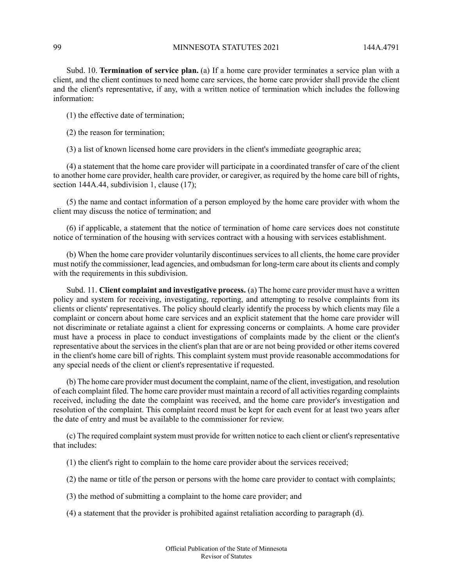Subd. 10. **Termination of service plan.** (a) If a home care provider terminates a service plan with a client, and the client continues to need home care services, the home care provider shall provide the client and the client's representative, if any, with a written notice of termination which includes the following information:

- (1) the effective date of termination;
- (2) the reason for termination;

(3) a list of known licensed home care providers in the client's immediate geographic area;

(4) a statement that the home care provider will participate in a coordinated transfer of care of the client to another home care provider, health care provider, or caregiver, as required by the home care bill of rights, section 144A.44, subdivision 1, clause (17);

(5) the name and contact information of a person employed by the home care provider with whom the client may discuss the notice of termination; and

(6) if applicable, a statement that the notice of termination of home care services does not constitute notice of termination of the housing with services contract with a housing with services establishment.

(b) When the home care provider voluntarily discontinues services to all clients, the home care provider must notify the commissioner, lead agencies, and ombudsman for long-term care about its clients and comply with the requirements in this subdivision.

Subd. 11. **Client complaint and investigative process.** (a) The home care provider must have a written policy and system for receiving, investigating, reporting, and attempting to resolve complaints from its clients or clients' representatives. The policy should clearly identify the process by which clients may file a complaint or concern about home care services and an explicit statement that the home care provider will not discriminate or retaliate against a client for expressing concerns or complaints. A home care provider must have a process in place to conduct investigations of complaints made by the client or the client's representative about the services in the client's plan that are or are not being provided or other items covered in the client's home care bill of rights. This complaint system must provide reasonable accommodations for any special needs of the client or client's representative if requested.

(b) The home care provider must document the complaint, name of the client, investigation, and resolution of each complaint filed. The home care provider must maintain a record of all activities regarding complaints received, including the date the complaint was received, and the home care provider's investigation and resolution of the complaint. This complaint record must be kept for each event for at least two years after the date of entry and must be available to the commissioner for review.

(c) The required complaint system must provide for written notice to each client or client's representative that includes:

(1) the client's right to complain to the home care provider about the services received;

(2) the name or title of the person or persons with the home care provider to contact with complaints;

(3) the method of submitting a complaint to the home care provider; and

(4) a statement that the provider is prohibited against retaliation according to paragraph (d).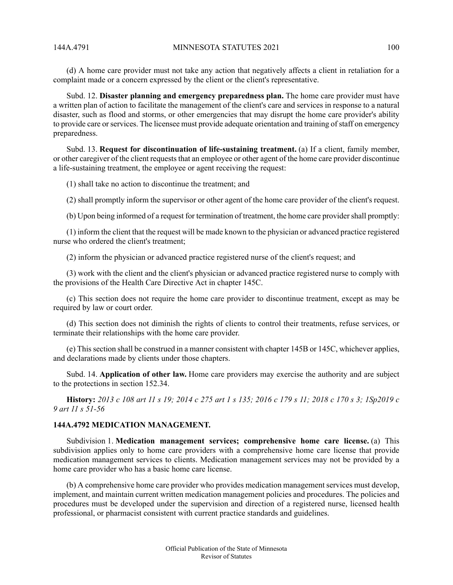(d) A home care provider must not take any action that negatively affects a client in retaliation for a complaint made or a concern expressed by the client or the client's representative.

Subd. 12. **Disaster planning and emergency preparedness plan.** The home care provider must have a written plan of action to facilitate the management of the client's care and services in response to a natural disaster, such as flood and storms, or other emergencies that may disrupt the home care provider's ability to provide care orservices. The licensee must provide adequate orientation and training ofstaff on emergency preparedness.

Subd. 13. **Request for discontinuation of life-sustaining treatment.** (a) If a client, family member, or other caregiver of the client requests that an employee or other agent of the home care provider discontinue a life-sustaining treatment, the employee or agent receiving the request:

(1) shall take no action to discontinue the treatment; and

(2) shall promptly inform the supervisor or other agent of the home care provider of the client's request.

(b) Upon being informed of a request for termination of treatment, the home care provider shall promptly:

(1) inform the client that the request will be made known to the physician or advanced practice registered nurse who ordered the client's treatment;

(2) inform the physician or advanced practice registered nurse of the client's request; and

(3) work with the client and the client's physician or advanced practice registered nurse to comply with the provisions of the Health Care Directive Act in chapter 145C.

(c) This section does not require the home care provider to discontinue treatment, except as may be required by law or court order.

(d) This section does not diminish the rights of clients to control their treatments, refuse services, or terminate their relationships with the home care provider.

(e) This section shall be construed in a manner consistent with chapter 145B or 145C, whichever applies, and declarations made by clients under those chapters.

Subd. 14. **Application of other law.** Home care providers may exercise the authority and are subject to the protections in section 152.34.

History: 2013 c 108 art 11 s 19; 2014 c 275 art 1 s 135; 2016 c 179 s 11; 2018 c 170 s 3; 1Sp2019 c *9 art 11 s 51-56*

# **144A.4792 MEDICATION MANAGEMENT.**

Subdivision 1. **Medication management services; comprehensive home care license.** (a) This subdivision applies only to home care providers with a comprehensive home care license that provide medication management services to clients. Medication management services may not be provided by a home care provider who has a basic home care license.

(b) A comprehensive home care provider who provides medication management services must develop, implement, and maintain current written medication management policies and procedures. The policies and procedures must be developed under the supervision and direction of a registered nurse, licensed health professional, or pharmacist consistent with current practice standards and guidelines.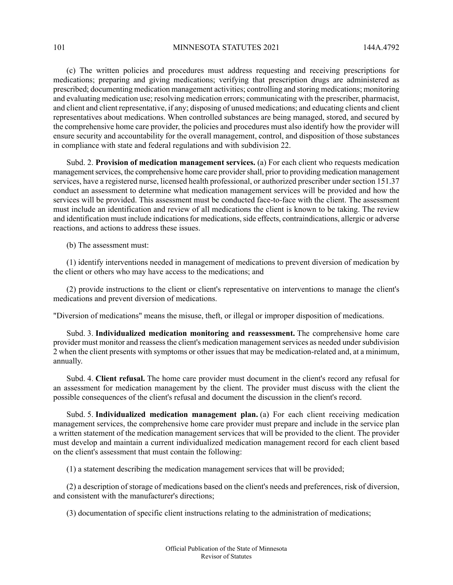(c) The written policies and procedures must address requesting and receiving prescriptions for medications; preparing and giving medications; verifying that prescription drugs are administered as prescribed; documenting medication management activities; controlling and storing medications; monitoring and evaluating medication use; resolving medication errors; communicating with the prescriber, pharmacist, and client and client representative, if any; disposing of unused medications; and educating clients and client representatives about medications. When controlled substances are being managed, stored, and secured by the comprehensive home care provider, the policies and procedures must also identify how the provider will ensure security and accountability for the overall management, control, and disposition of those substances in compliance with state and federal regulations and with subdivision 22.

Subd. 2. **Provision of medication management services.** (a) For each client who requests medication management services, the comprehensive home care provider shall, prior to providing medication management services, have a registered nurse, licensed health professional, or authorized prescriber under section 151.37 conduct an assessment to determine what medication management services will be provided and how the services will be provided. This assessment must be conducted face-to-face with the client. The assessment must include an identification and review of all medications the client is known to be taking. The review and identification must include indications for medications, side effects, contraindications, allergic or adverse reactions, and actions to address these issues.

(b) The assessment must:

(1) identify interventions needed in management of medications to prevent diversion of medication by the client or others who may have access to the medications; and

(2) provide instructions to the client or client's representative on interventions to manage the client's medications and prevent diversion of medications.

"Diversion of medications" means the misuse, theft, or illegal or improper disposition of medications.

Subd. 3. **Individualized medication monitoring and reassessment.** The comprehensive home care provider must monitor and reassessthe client's medication managementservices as needed undersubdivision 2 when the client presents with symptoms or other issues that may be medication-related and, at a minimum, annually.

Subd. 4. **Client refusal.** The home care provider must document in the client's record any refusal for an assessment for medication management by the client. The provider must discuss with the client the possible consequences of the client's refusal and document the discussion in the client's record.

Subd. 5. **Individualized medication management plan.** (a) For each client receiving medication management services, the comprehensive home care provider must prepare and include in the service plan a written statement of the medication management services that will be provided to the client. The provider must develop and maintain a current individualized medication management record for each client based on the client's assessment that must contain the following:

(1) a statement describing the medication management services that will be provided;

(2) a description of storage of medications based on the client's needs and preferences, risk of diversion, and consistent with the manufacturer's directions;

(3) documentation of specific client instructions relating to the administration of medications;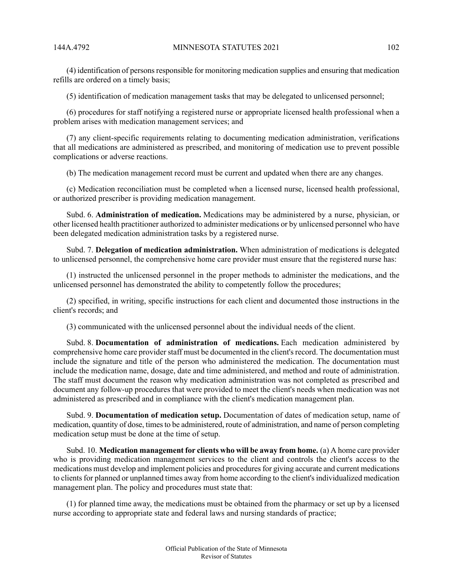(4) identification of personsresponsible for monitoring medication supplies and ensuring that medication refills are ordered on a timely basis;

(5) identification of medication management tasks that may be delegated to unlicensed personnel;

(6) procedures for staff notifying a registered nurse or appropriate licensed health professional when a problem arises with medication management services; and

(7) any client-specific requirements relating to documenting medication administration, verifications that all medications are administered as prescribed, and monitoring of medication use to prevent possible complications or adverse reactions.

(b) The medication management record must be current and updated when there are any changes.

(c) Medication reconciliation must be completed when a licensed nurse, licensed health professional, or authorized prescriber is providing medication management.

Subd. 6. **Administration of medication.** Medications may be administered by a nurse, physician, or other licensed health practitioner authorized to administer medications or by unlicensed personnel who have been delegated medication administration tasks by a registered nurse.

Subd. 7. **Delegation of medication administration.** When administration of medications is delegated to unlicensed personnel, the comprehensive home care provider must ensure that the registered nurse has:

(1) instructed the unlicensed personnel in the proper methods to administer the medications, and the unlicensed personnel has demonstrated the ability to competently follow the procedures;

(2) specified, in writing, specific instructions for each client and documented those instructions in the client's records; and

(3) communicated with the unlicensed personnel about the individual needs of the client.

Subd. 8. **Documentation of administration of medications.** Each medication administered by comprehensive home care provider staff must be documented in the client's record. The documentation must include the signature and title of the person who administered the medication. The documentation must include the medication name, dosage, date and time administered, and method and route of administration. The staff must document the reason why medication administration was not completed as prescribed and document any follow-up procedures that were provided to meet the client's needs when medication was not administered as prescribed and in compliance with the client's medication management plan.

Subd. 9. **Documentation of medication setup.** Documentation of dates of medication setup, name of medication, quantity of dose, timesto be administered, route of administration, and name of person completing medication setup must be done at the time of setup.

Subd. 10. **Medication management for clients who will be away from home.** (a) A home care provider who is providing medication management services to the client and controls the client's access to the medications must develop and implement policies and procedures for giving accurate and current medications to clients for planned or unplanned times away from home according to the client's individualized medication management plan. The policy and procedures must state that:

(1) for planned time away, the medications must be obtained from the pharmacy or set up by a licensed nurse according to appropriate state and federal laws and nursing standards of practice;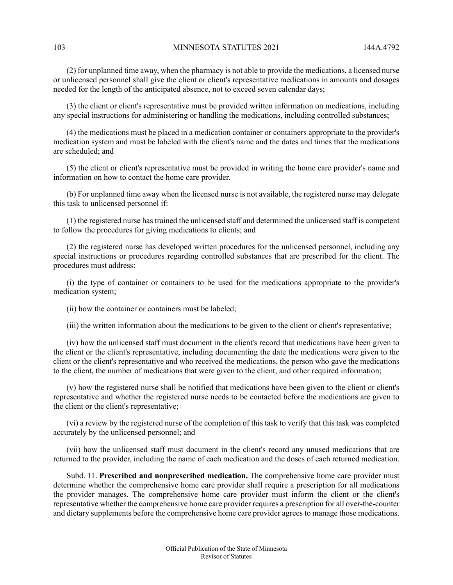103 MINNESOTA STATUTES 2021 144A.4792

(2) for unplanned time away, when the pharmacy is not able to provide the medications, a licensed nurse or unlicensed personnel shall give the client or client's representative medications in amounts and dosages needed for the length of the anticipated absence, not to exceed seven calendar days;

(3) the client or client's representative must be provided written information on medications, including any special instructions for administering or handling the medications, including controlled substances;

(4) the medications must be placed in a medication container or containers appropriate to the provider's medication system and must be labeled with the client's name and the dates and times that the medications are scheduled; and

(5) the client or client's representative must be provided in writing the home care provider's name and information on how to contact the home care provider.

(b) For unplanned time away when the licensed nurse is not available, the registered nurse may delegate this task to unlicensed personnel if:

(1) the registered nurse has trained the unlicensed staff and determined the unlicensed staff is competent to follow the procedures for giving medications to clients; and

(2) the registered nurse has developed written procedures for the unlicensed personnel, including any special instructions or procedures regarding controlled substances that are prescribed for the client. The procedures must address:

(i) the type of container or containers to be used for the medications appropriate to the provider's medication system;

(ii) how the container or containers must be labeled;

(iii) the written information about the medications to be given to the client or client's representative;

(iv) how the unlicensed staff must document in the client's record that medications have been given to the client or the client's representative, including documenting the date the medications were given to the client or the client's representative and who received the medications, the person who gave the medications to the client, the number of medications that were given to the client, and other required information;

(v) how the registered nurse shall be notified that medications have been given to the client or client's representative and whether the registered nurse needs to be contacted before the medications are given to the client or the client's representative;

(vi) a review by the registered nurse of the completion of this task to verify that this task was completed accurately by the unlicensed personnel; and

(vii) how the unlicensed staff must document in the client's record any unused medications that are returned to the provider, including the name of each medication and the doses of each returned medication.

Subd. 11. **Prescribed and nonprescribed medication.** The comprehensive home care provider must determine whether the comprehensive home care provider shall require a prescription for all medications the provider manages. The comprehensive home care provider must inform the client or the client's representative whether the comprehensive home care provider requires a prescription for all over-the-counter and dietary supplements before the comprehensive home care provider agrees to manage those medications.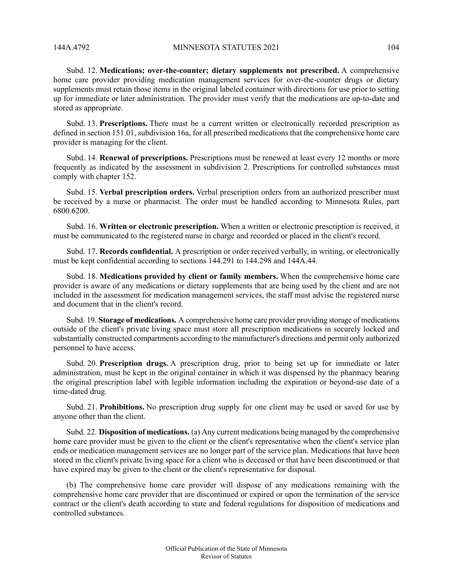Subd. 12. **Medications; over-the-counter; dietary supplements not prescribed.** A comprehensive home care provider providing medication management services for over-the-counter drugs or dietary supplements must retain those items in the original labeled container with directions for use prior to setting up for immediate or later administration. The provider must verify that the medications are up-to-date and stored as appropriate.

Subd. 13. **Prescriptions.** There must be a current written or electronically recorded prescription as defined in section 151.01, subdivision 16a, for all prescribed medications that the comprehensive home care provider is managing for the client.

Subd. 14. **Renewal of prescriptions.** Prescriptions must be renewed at least every 12 months or more frequently as indicated by the assessment in subdivision 2. Prescriptions for controlled substances must comply with chapter 152.

Subd. 15. **Verbal prescription orders.** Verbal prescription orders from an authorized prescriber must be received by a nurse or pharmacist. The order must be handled according to Minnesota Rules, part 6800.6200.

Subd. 16. **Written or electronic prescription.** When a written or electronic prescription is received, it must be communicated to the registered nurse in charge and recorded or placed in the client's record.

Subd. 17. **Records confidential.** A prescription or order received verbally, in writing, or electronically must be kept confidential according to sections 144.291 to 144.298 and 144A.44.

Subd. 18. **Medications provided by client or family members.** When the comprehensive home care provider is aware of any medications or dietary supplements that are being used by the client and are not included in the assessment for medication management services, the staff must advise the registered nurse and document that in the client's record.

Subd. 19. **Storage of medications.** A comprehensive home care provider providing storage of medications outside of the client's private living space must store all prescription medications in securely locked and substantially constructed compartments according to the manufacturer's directions and permit only authorized personnel to have access.

Subd. 20. **Prescription drugs.** A prescription drug, prior to being set up for immediate or later administration, must be kept in the original container in which it was dispensed by the pharmacy bearing the original prescription label with legible information including the expiration or beyond-use date of a time-dated drug.

Subd. 21. **Prohibitions.** No prescription drug supply for one client may be used or saved for use by anyone other than the client.

Subd. 22. **Disposition of medications.** (a) Any current medications being managed by the comprehensive home care provider must be given to the client or the client's representative when the client's service plan ends or medication management services are no longer part of the service plan. Medications that have been stored in the client's private living space for a client who is deceased or that have been discontinued or that have expired may be given to the client or the client's representative for disposal.

(b) The comprehensive home care provider will dispose of any medications remaining with the comprehensive home care provider that are discontinued or expired or upon the termination of the service contract or the client's death according to state and federal regulations for disposition of medications and controlled substances.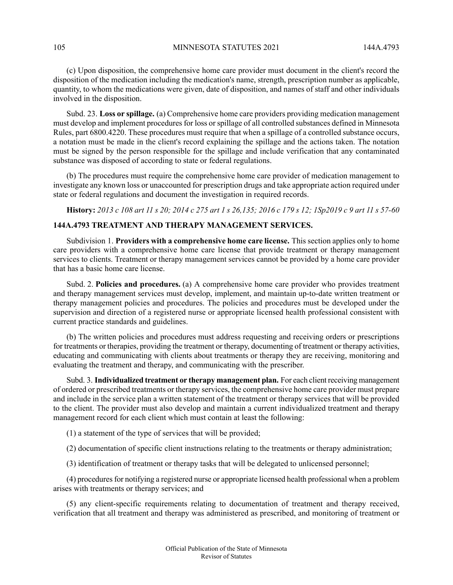(c) Upon disposition, the comprehensive home care provider must document in the client's record the disposition of the medication including the medication's name, strength, prescription number as applicable, quantity, to whom the medications were given, date of disposition, and names of staff and other individuals involved in the disposition.

Subd. 23. **Loss or spillage.** (a) Comprehensive home care providers providing medication management must develop and implement procedures for loss or spillage of all controlled substances defined in Minnesota Rules, part 6800.4220. These procedures must require that when a spillage of a controlled substance occurs, a notation must be made in the client's record explaining the spillage and the actions taken. The notation must be signed by the person responsible for the spillage and include verification that any contaminated substance was disposed of according to state or federal regulations.

(b) The procedures must require the comprehensive home care provider of medication management to investigate any known loss or unaccounted for prescription drugs and take appropriate action required under state or federal regulations and document the investigation in required records.

History: 2013 c 108 art 11 s 20; 2014 c 275 art 1 s 26,135; 2016 c 179 s 12; 1Sp2019 c 9 art 11 s 57-60

# **144A.4793 TREATMENT AND THERAPY MANAGEMENT SERVICES.**

Subdivision 1. **Providers with a comprehensive home care license.** This section applies only to home care providers with a comprehensive home care license that provide treatment or therapy management services to clients. Treatment or therapy management services cannot be provided by a home care provider that has a basic home care license.

Subd. 2. **Policies and procedures.** (a) A comprehensive home care provider who provides treatment and therapy management services must develop, implement, and maintain up-to-date written treatment or therapy management policies and procedures. The policies and procedures must be developed under the supervision and direction of a registered nurse or appropriate licensed health professional consistent with current practice standards and guidelines.

(b) The written policies and procedures must address requesting and receiving orders or prescriptions for treatments or therapies, providing the treatment or therapy, documenting of treatment or therapy activities, educating and communicating with clients about treatments or therapy they are receiving, monitoring and evaluating the treatment and therapy, and communicating with the prescriber.

Subd. 3. **Individualized treatment or therapy management plan.** For each client receiving management of ordered or prescribed treatments or therapy services, the comprehensive home care provider must prepare and include in the service plan a written statement of the treatment or therapy services that will be provided to the client. The provider must also develop and maintain a current individualized treatment and therapy management record for each client which must contain at least the following:

(1) a statement of the type of services that will be provided;

(2) documentation of specific client instructions relating to the treatments or therapy administration;

(3) identification of treatment or therapy tasks that will be delegated to unlicensed personnel;

(4) procedures for notifying a registered nurse or appropriate licensed health professional when a problem arises with treatments or therapy services; and

(5) any client-specific requirements relating to documentation of treatment and therapy received, verification that all treatment and therapy was administered as prescribed, and monitoring of treatment or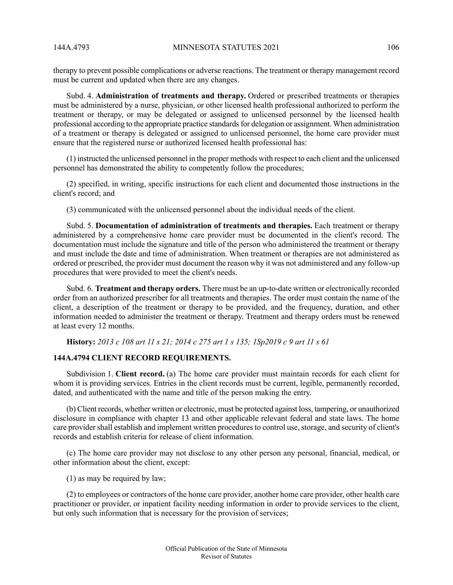therapy to prevent possible complications or adverse reactions. The treatment or therapy management record must be current and updated when there are any changes.

Subd. 4. **Administration of treatments and therapy.** Ordered or prescribed treatments or therapies must be administered by a nurse, physician, or other licensed health professional authorized to perform the treatment or therapy, or may be delegated or assigned to unlicensed personnel by the licensed health professional according to the appropriate practice standards for delegation or assignment. When administration of a treatment or therapy is delegated or assigned to unlicensed personnel, the home care provider must ensure that the registered nurse or authorized licensed health professional has:

(1) instructed the unlicensed personnel in the proper methods with respect to each client and the unlicensed personnel has demonstrated the ability to competently follow the procedures;

(2) specified, in writing, specific instructions for each client and documented those instructions in the client's record; and

(3) communicated with the unlicensed personnel about the individual needs of the client.

Subd. 5. **Documentation of administration of treatments and therapies.** Each treatment or therapy administered by a comprehensive home care provider must be documented in the client's record. The documentation must include the signature and title of the person who administered the treatment or therapy and must include the date and time of administration. When treatment or therapies are not administered as ordered or prescribed, the provider must document the reason why it was not administered and any follow-up procedures that were provided to meet the client's needs.

Subd. 6. **Treatment and therapy orders.** There must be an up-to-date written or electronically recorded order from an authorized prescriber for all treatments and therapies. The order must contain the name of the client, a description of the treatment or therapy to be provided, and the frequency, duration, and other information needed to administer the treatment or therapy. Treatment and therapy orders must be renewed at least every 12 months.

History: 2013 c 108 art 11 s 21; 2014 c 275 art 1 s 135; 1Sp2019 c 9 art 11 s 61

## **144A.4794 CLIENT RECORD REQUIREMENTS.**

Subdivision 1. **Client record.** (a) The home care provider must maintain records for each client for whom it is providing services. Entries in the client records must be current, legible, permanently recorded, dated, and authenticated with the name and title of the person making the entry.

(b) Client records, whether written or electronic, must be protected against loss, tampering, or unauthorized disclosure in compliance with chapter 13 and other applicable relevant federal and state laws. The home care provider shall establish and implement written procedures to control use, storage, and security of client's records and establish criteria for release of client information.

(c) The home care provider may not disclose to any other person any personal, financial, medical, or other information about the client, except:

(1) as may be required by law;

(2) to employees or contractors of the home care provider, another home care provider, other health care practitioner or provider, or inpatient facility needing information in order to provide services to the client, but only such information that is necessary for the provision of services;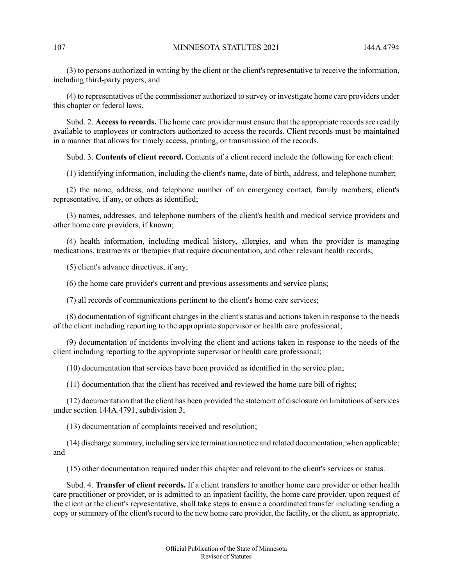(3) to persons authorized in writing by the client or the client's representative to receive the information, including third-party payers; and

(4) to representatives of the commissioner authorized to survey or investigate home care providers under this chapter or federal laws.

Subd. 2. **Accessto records.** The home care provider must ensure that the appropriate records are readily available to employees or contractors authorized to access the records. Client records must be maintained in a manner that allows for timely access, printing, or transmission of the records.

Subd. 3. **Contents of client record.** Contents of a client record include the following for each client:

(1) identifying information, including the client's name, date of birth, address, and telephone number;

(2) the name, address, and telephone number of an emergency contact, family members, client's representative, if any, or others as identified;

(3) names, addresses, and telephone numbers of the client's health and medical service providers and other home care providers, if known;

(4) health information, including medical history, allergies, and when the provider is managing medications, treatments or therapies that require documentation, and other relevant health records;

(5) client's advance directives, if any;

(6) the home care provider's current and previous assessments and service plans;

(7) all records of communications pertinent to the client's home care services;

(8) documentation of significant changes in the client's status and actions taken in response to the needs of the client including reporting to the appropriate supervisor or health care professional;

(9) documentation of incidents involving the client and actions taken in response to the needs of the client including reporting to the appropriate supervisor or health care professional;

(10) documentation that services have been provided as identified in the service plan;

(11) documentation that the client has received and reviewed the home care bill of rights;

(12) documentation that the client has been provided the statement of disclosure on limitations ofservices under section 144A.4791, subdivision 3;

(13) documentation of complaints received and resolution;

(14) discharge summary, including service termination notice and related documentation, when applicable; and

(15) other documentation required under this chapter and relevant to the client's services or status.

Subd. 4. **Transfer of client records.** If a client transfers to another home care provider or other health care practitioner or provider, or is admitted to an inpatient facility, the home care provider, upon request of the client or the client's representative, shall take steps to ensure a coordinated transfer including sending a copy or summary of the client's record to the new home care provider, the facility, or the client, as appropriate.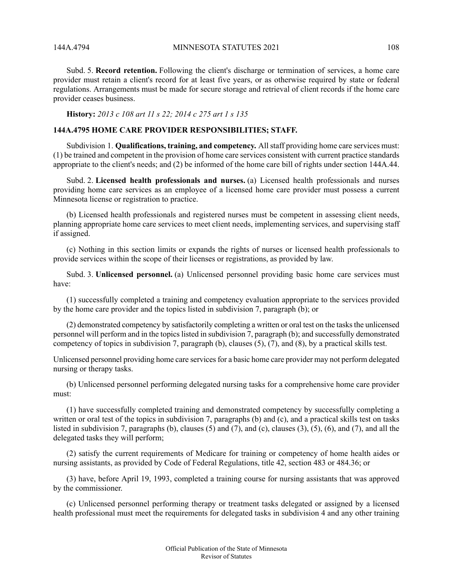144A 4794 MINNESOTA STATUTES 2021 108

Subd. 5. **Record retention.** Following the client's discharge or termination of services, a home care provider must retain a client's record for at least five years, or as otherwise required by state or federal regulations. Arrangements must be made for secure storage and retrieval of client records if the home care provider ceases business.

**History:** *2013 c 108 art 11 s 22; 2014 c 275 art 1 s 135*

# **144A.4795 HOME CARE PROVIDER RESPONSIBILITIES; STAFF.**

Subdivision 1. **Qualifications, training, and competency.** Allstaff providing home care services must: (1) be trained and competent in the provision of home care services consistent with current practice standards appropriate to the client's needs; and (2) be informed of the home care bill of rights under section 144A.44.

Subd. 2. **Licensed health professionals and nurses.** (a) Licensed health professionals and nurses providing home care services as an employee of a licensed home care provider must possess a current Minnesota license or registration to practice.

(b) Licensed health professionals and registered nurses must be competent in assessing client needs, planning appropriate home care services to meet client needs, implementing services, and supervising staff if assigned.

(c) Nothing in this section limits or expands the rights of nurses or licensed health professionals to provide services within the scope of their licenses or registrations, as provided by law.

Subd. 3. **Unlicensed personnel.** (a) Unlicensed personnel providing basic home care services must have:

(1) successfully completed a training and competency evaluation appropriate to the services provided by the home care provider and the topics listed in subdivision 7, paragraph (b); or

(2) demonstrated competency by satisfactorily completing a written or oral test on the tasksthe unlicensed personnel will perform and in the topicslisted in subdivision 7, paragraph (b); and successfully demonstrated competency of topics in subdivision 7, paragraph (b), clauses (5), (7), and (8), by a practical skills test.

Unlicensed personnel providing home care services for a basic home care provider may not perform delegated nursing or therapy tasks.

(b) Unlicensed personnel performing delegated nursing tasks for a comprehensive home care provider must:

(1) have successfully completed training and demonstrated competency by successfully completing a written or oral test of the topics in subdivision 7, paragraphs (b) and (c), and a practical skills test on tasks listed in subdivision 7, paragraphs (b), clauses (5) and (7), and (c), clauses (3), (5), (6), and (7), and all the delegated tasks they will perform;

(2) satisfy the current requirements of Medicare for training or competency of home health aides or nursing assistants, as provided by Code of Federal Regulations, title 42, section 483 or 484.36; or

(3) have, before April 19, 1993, completed a training course for nursing assistants that was approved by the commissioner.

(c) Unlicensed personnel performing therapy or treatment tasks delegated or assigned by a licensed health professional must meet the requirements for delegated tasks in subdivision 4 and any other training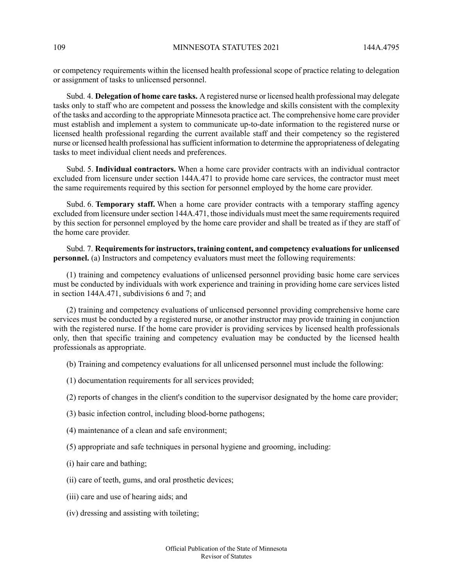or competency requirements within the licensed health professional scope of practice relating to delegation or assignment of tasks to unlicensed personnel.

Subd. 4. **Delegation of home care tasks.** A registered nurse or licensed health professional may delegate tasks only to staff who are competent and possess the knowledge and skills consistent with the complexity of the tasks and according to the appropriate Minnesota practice act. The comprehensive home care provider must establish and implement a system to communicate up-to-date information to the registered nurse or licensed health professional regarding the current available staff and their competency so the registered nurse or licensed health professional hassufficient information to determine the appropriateness of delegating tasks to meet individual client needs and preferences.

Subd. 5. **Individual contractors.** When a home care provider contracts with an individual contractor excluded from licensure under section 144A.471 to provide home care services, the contractor must meet the same requirements required by this section for personnel employed by the home care provider.

Subd. 6. **Temporary staff.** When a home care provider contracts with a temporary staffing agency excluded from licensure under section 144A.471, those individuals must meet the same requirements required by this section for personnel employed by the home care provider and shall be treated as if they are staff of the home care provider.

Subd. 7. **Requirementsfor instructors, training content, and competency evaluationsfor unlicensed personnel.** (a) Instructors and competency evaluators must meet the following requirements:

(1) training and competency evaluations of unlicensed personnel providing basic home care services must be conducted by individuals with work experience and training in providing home care services listed in section 144A.471, subdivisions 6 and 7; and

(2) training and competency evaluations of unlicensed personnel providing comprehensive home care services must be conducted by a registered nurse, or another instructor may provide training in conjunction with the registered nurse. If the home care provider is providing services by licensed health professionals only, then that specific training and competency evaluation may be conducted by the licensed health professionals as appropriate.

(b) Training and competency evaluations for all unlicensed personnel must include the following:

- (1) documentation requirements for all services provided;
- (2) reports of changes in the client's condition to the supervisor designated by the home care provider;
- (3) basic infection control, including blood-borne pathogens;
- (4) maintenance of a clean and safe environment;
- (5) appropriate and safe techniques in personal hygiene and grooming, including:
- (i) hair care and bathing;
- (ii) care of teeth, gums, and oral prosthetic devices;
- (iii) care and use of hearing aids; and
- (iv) dressing and assisting with toileting;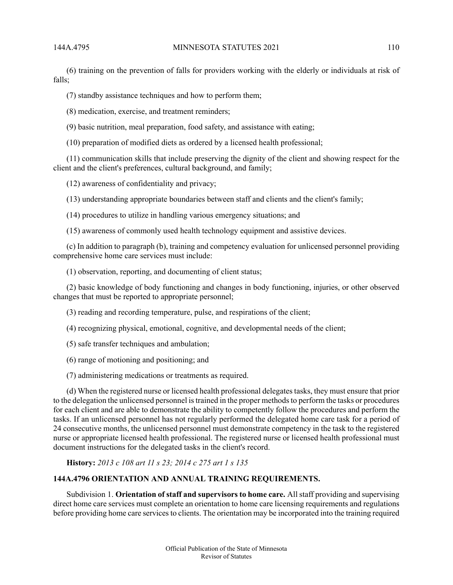(6) training on the prevention of falls for providers working with the elderly or individuals at risk of falls;

(7) standby assistance techniques and how to perform them;

(8) medication, exercise, and treatment reminders;

(9) basic nutrition, meal preparation, food safety, and assistance with eating;

(10) preparation of modified diets as ordered by a licensed health professional;

(11) communication skills that include preserving the dignity of the client and showing respect for the client and the client's preferences, cultural background, and family;

(12) awareness of confidentiality and privacy;

(13) understanding appropriate boundaries between staff and clients and the client's family;

(14) procedures to utilize in handling various emergency situations; and

(15) awareness of commonly used health technology equipment and assistive devices.

(c) In addition to paragraph (b), training and competency evaluation for unlicensed personnel providing comprehensive home care services must include:

(1) observation, reporting, and documenting of client status;

(2) basic knowledge of body functioning and changes in body functioning, injuries, or other observed changes that must be reported to appropriate personnel;

(3) reading and recording temperature, pulse, and respirations of the client;

(4) recognizing physical, emotional, cognitive, and developmental needs of the client;

(5) safe transfer techniques and ambulation;

(6) range of motioning and positioning; and

(7) administering medications or treatments as required.

(d) When the registered nurse or licensed health professional delegates tasks, they must ensure that prior to the delegation the unlicensed personnel istrained in the proper methodsto perform the tasks or procedures for each client and are able to demonstrate the ability to competently follow the procedures and perform the tasks. If an unlicensed personnel has not regularly performed the delegated home care task for a period of 24 consecutive months, the unlicensed personnel must demonstrate competency in the task to the registered nurse or appropriate licensed health professional. The registered nurse or licensed health professional must document instructions for the delegated tasks in the client's record.

**History:** *2013 c 108 art 11 s 23; 2014 c 275 art 1 s 135*

## **144A.4796 ORIENTATION AND ANNUAL TRAINING REQUIREMENTS.**

Subdivision 1. **Orientation of staff and supervisors to home care.** All staff providing and supervising direct home care services must complete an orientation to home care licensing requirements and regulations before providing home care services to clients. The orientation may be incorporated into the training required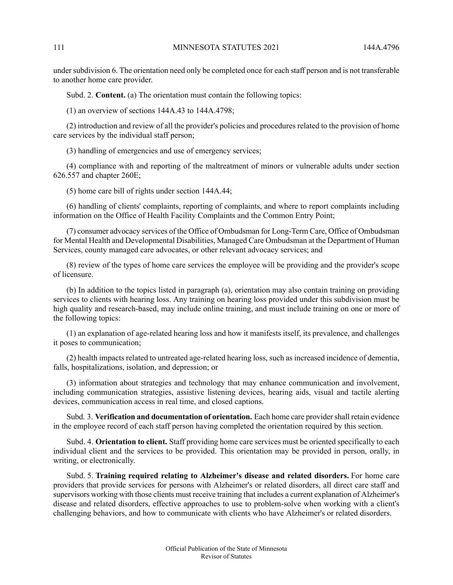under subdivision 6. The orientation need only be completed once for each staff person and is not transferable to another home care provider.

Subd. 2. **Content.** (a) The orientation must contain the following topics:

(1) an overview of sections 144A.43 to 144A.4798;

(2) introduction and review of all the provider's policies and procedures related to the provision of home care services by the individual staff person;

(3) handling of emergencies and use of emergency services;

(4) compliance with and reporting of the maltreatment of minors or vulnerable adults under section 626.557 and chapter 260E;

(5) home care bill of rights under section 144A.44;

(6) handling of clients' complaints, reporting of complaints, and where to report complaints including information on the Office of Health Facility Complaints and the Common Entry Point;

(7) consumer advocacy services of the Office of Ombudsman for Long-Term Care, Office of Ombudsman for Mental Health and Developmental Disabilities, Managed Care Ombudsman at the Department of Human Services, county managed care advocates, or other relevant advocacy services; and

(8) review of the types of home care services the employee will be providing and the provider's scope of licensure.

(b) In addition to the topics listed in paragraph (a), orientation may also contain training on providing services to clients with hearing loss. Any training on hearing loss provided under this subdivision must be high quality and research-based, may include online training, and must include training on one or more of the following topics:

(1) an explanation of age-related hearing loss and how it manifests itself, its prevalence, and challenges it poses to communication;

(2) health impacts related to untreated age-related hearing loss, such as increased incidence of dementia, falls, hospitalizations, isolation, and depression; or

(3) information about strategies and technology that may enhance communication and involvement, including communication strategies, assistive listening devices, hearing aids, visual and tactile alerting devices, communication access in real time, and closed captions.

Subd. 3. **Verification and documentation of orientation.** Each home care providershall retain evidence in the employee record of each staff person having completed the orientation required by this section.

Subd. 4. **Orientation to client.** Staff providing home care services must be oriented specifically to each individual client and the services to be provided. This orientation may be provided in person, orally, in writing, or electronically.

Subd. 5. **Training required relating to Alzheimer's disease and related disorders.** For home care providers that provide services for persons with Alzheimer's or related disorders, all direct care staff and supervisors working with those clients must receive training that includes a current explanation of Alzheimer's disease and related disorders, effective approaches to use to problem-solve when working with a client's challenging behaviors, and how to communicate with clients who have Alzheimer's or related disorders.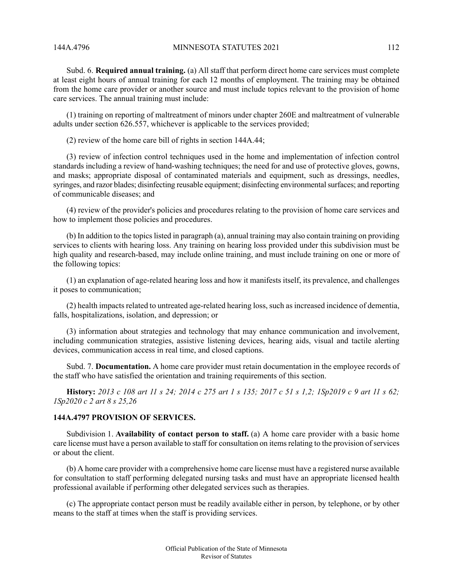Subd. 6. **Required annual training.** (a) All staff that perform direct home care services must complete at least eight hours of annual training for each 12 months of employment. The training may be obtained from the home care provider or another source and must include topics relevant to the provision of home care services. The annual training must include:

(1) training on reporting of maltreatment of minors under chapter 260E and maltreatment of vulnerable adults under section 626.557, whichever is applicable to the services provided;

(2) review of the home care bill of rights in section 144A.44;

(3) review of infection control techniques used in the home and implementation of infection control standards including a review of hand-washing techniques; the need for and use of protective gloves, gowns, and masks; appropriate disposal of contaminated materials and equipment, such as dressings, needles, syringes, and razor blades; disinfecting reusable equipment; disinfecting environmental surfaces; and reporting of communicable diseases; and

(4) review of the provider's policies and procedures relating to the provision of home care services and how to implement those policies and procedures.

(b) In addition to the topicslisted in paragraph (a), annual training may also contain training on providing services to clients with hearing loss. Any training on hearing loss provided under this subdivision must be high quality and research-based, may include online training, and must include training on one or more of the following topics:

(1) an explanation of age-related hearing loss and how it manifests itself, its prevalence, and challenges it poses to communication;

(2) health impacts related to untreated age-related hearing loss, such as increased incidence of dementia, falls, hospitalizations, isolation, and depression; or

(3) information about strategies and technology that may enhance communication and involvement, including communication strategies, assistive listening devices, hearing aids, visual and tactile alerting devices, communication access in real time, and closed captions.

Subd. 7. **Documentation.** A home care provider must retain documentation in the employee records of the staff who have satisfied the orientation and training requirements of this section.

**History:** 2013 c 108 art 11 s 24: 2014 c 275 art 1 s 135: 2017 c 51 s 1.2: 1Sp2019 c 9 art 11 s 62: *1Sp2020 c 2 art 8 s 25,26*

### **144A.4797 PROVISION OF SERVICES.**

Subdivision 1. **Availability of contact person to staff.** (a) A home care provider with a basic home care license must have a person available to staff for consultation on items relating to the provision of services or about the client.

(b) A home care provider with a comprehensive home care license must have a registered nurse available for consultation to staff performing delegated nursing tasks and must have an appropriate licensed health professional available if performing other delegated services such as therapies.

(c) The appropriate contact person must be readily available either in person, by telephone, or by other means to the staff at times when the staff is providing services.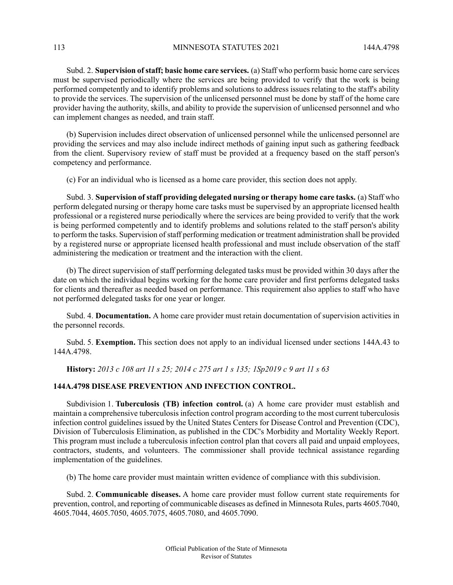113 MINNESOTA STATUTES 2021 144A 4798

Subd. 2. **Supervision ofstaff; basic home care services.** (a) Staff who perform basic home care services must be supervised periodically where the services are being provided to verify that the work is being performed competently and to identify problems and solutions to address issues relating to the staff's ability to provide the services. The supervision of the unlicensed personnel must be done by staff of the home care provider having the authority, skills, and ability to provide the supervision of unlicensed personnel and who can implement changes as needed, and train staff.

(b) Supervision includes direct observation of unlicensed personnel while the unlicensed personnel are providing the services and may also include indirect methods of gaining input such as gathering feedback from the client. Supervisory review of staff must be provided at a frequency based on the staff person's competency and performance.

(c) For an individual who is licensed as a home care provider, this section does not apply.

Subd. 3. **Supervision ofstaff providing delegated nursing or therapy home care tasks.** (a) Staff who perform delegated nursing or therapy home care tasks must be supervised by an appropriate licensed health professional or a registered nurse periodically where the services are being provided to verify that the work is being performed competently and to identify problems and solutions related to the staff person's ability to perform the tasks. Supervision of staff performing medication or treatment administration shall be provided by a registered nurse or appropriate licensed health professional and must include observation of the staff administering the medication or treatment and the interaction with the client.

(b) The direct supervision of staff performing delegated tasks must be provided within 30 days after the date on which the individual begins working for the home care provider and first performs delegated tasks for clients and thereafter as needed based on performance. This requirement also applies to staff who have not performed delegated tasks for one year or longer.

Subd. 4. **Documentation.** A home care provider must retain documentation of supervision activities in the personnel records.

Subd. 5. **Exemption.** This section does not apply to an individual licensed under sections 144A.43 to 144A.4798.

History: 2013 c 108 art 11 s 25; 2014 c 275 art 1 s 135; 1Sp2019 c 9 art 11 s 63

# **144A.4798 DISEASE PREVENTION AND INFECTION CONTROL.**

Subdivision 1. **Tuberculosis (TB) infection control.** (a) A home care provider must establish and maintain a comprehensive tuberculosis infection control program according to the most current tuberculosis infection control guidelines issued by the United States Centers for Disease Control and Prevention (CDC), Division of Tuberculosis Elimination, as published in the CDC's Morbidity and Mortality Weekly Report. This program must include a tuberculosis infection control plan that covers all paid and unpaid employees, contractors, students, and volunteers. The commissioner shall provide technical assistance regarding implementation of the guidelines.

(b) The home care provider must maintain written evidence of compliance with this subdivision.

Subd. 2. **Communicable diseases.** A home care provider must follow current state requirements for prevention, control, and reporting of communicable diseases as defined in Minnesota Rules, parts 4605.7040, 4605.7044, 4605.7050, 4605.7075, 4605.7080, and 4605.7090.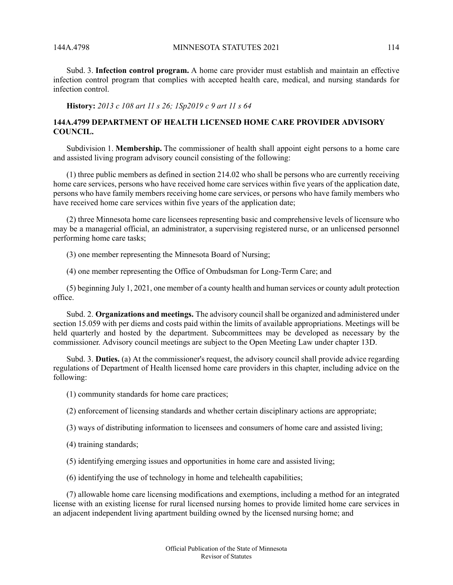Subd. 3. **Infection control program.** A home care provider must establish and maintain an effective infection control program that complies with accepted health care, medical, and nursing standards for infection control.

**History:** *2013 c 108 art 11 s 26; 1Sp2019 c 9 art 11 s 64*

# **144A.4799 DEPARTMENT OF HEALTH LICENSED HOME CARE PROVIDER ADVISORY COUNCIL.**

Subdivision 1. **Membership.** The commissioner of health shall appoint eight persons to a home care and assisted living program advisory council consisting of the following:

(1) three public members as defined in section 214.02 who shall be persons who are currently receiving home care services, persons who have received home care services within five years of the application date, persons who have family members receiving home care services, or persons who have family members who have received home care services within five years of the application date;

(2) three Minnesota home care licensees representing basic and comprehensive levels of licensure who may be a managerial official, an administrator, a supervising registered nurse, or an unlicensed personnel performing home care tasks;

(3) one member representing the Minnesota Board of Nursing;

(4) one member representing the Office of Ombudsman for Long-Term Care; and

(5) beginning July 1, 2021, one member of a county health and human services or county adult protection office.

Subd. 2. **Organizations and meetings.** The advisory councilshall be organized and administered under section 15.059 with per diems and costs paid within the limits of available appropriations. Meetings will be held quarterly and hosted by the department. Subcommittees may be developed as necessary by the commissioner. Advisory council meetings are subject to the Open Meeting Law under chapter 13D.

Subd. 3. **Duties.** (a) At the commissioner's request, the advisory council shall provide advice regarding regulations of Department of Health licensed home care providers in this chapter, including advice on the following:

(1) community standards for home care practices;

(2) enforcement of licensing standards and whether certain disciplinary actions are appropriate;

(3) ways of distributing information to licensees and consumers of home care and assisted living;

(4) training standards;

(5) identifying emerging issues and opportunities in home care and assisted living;

(6) identifying the use of technology in home and telehealth capabilities;

(7) allowable home care licensing modifications and exemptions, including a method for an integrated license with an existing license for rural licensed nursing homes to provide limited home care services in an adjacent independent living apartment building owned by the licensed nursing home; and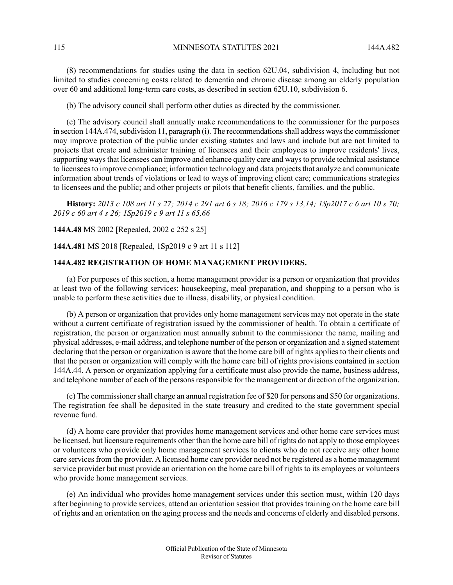(8) recommendations for studies using the data in section 62U.04, subdivision 4, including but not limited to studies concerning costs related to dementia and chronic disease among an elderly population over 60 and additional long-term care costs, as described in section 62U.10, subdivision 6.

(b) The advisory council shall perform other duties as directed by the commissioner.

(c) The advisory council shall annually make recommendations to the commissioner for the purposes in section 144A.474, subdivision 11, paragraph (i). The recommendations shall address ways the commissioner may improve protection of the public under existing statutes and laws and include but are not limited to projects that create and administer training of licensees and their employees to improve residents' lives, supporting ways that licensees can improve and enhance quality care and ways to provide technical assistance to licensees to improve compliance; information technology and data projects that analyze and communicate information about trends of violations or lead to ways of improving client care; communications strategies to licensees and the public; and other projects or pilots that benefit clients, families, and the public.

History: 2013 c 108 art 11 s 27; 2014 c 291 art 6 s 18; 2016 c 179 s 13,14; 1Sp2017 c 6 art 10 s 70; *2019 c 60 art 4 s 26; 1Sp2019 c 9 art 11 s 65,66*

**144A.48** MS 2002 [Repealed, 2002 c 252 s 25]

**144A.481** MS 2018 [Repealed, 1Sp2019 c 9 art 11 s 112]

# **144A.482 REGISTRATION OF HOME MANAGEMENT PROVIDERS.**

(a) For purposes of this section, a home management provider is a person or organization that provides at least two of the following services: housekeeping, meal preparation, and shopping to a person who is unable to perform these activities due to illness, disability, or physical condition.

(b) A person or organization that provides only home management services may not operate in the state without a current certificate of registration issued by the commissioner of health. To obtain a certificate of registration, the person or organization must annually submit to the commissioner the name, mailing and physical addresses, e-mail address, and telephone number of the person or organization and a signed statement declaring that the person or organization is aware that the home care bill of rights applies to their clients and that the person or organization will comply with the home care bill of rights provisions contained in section 144A.44. A person or organization applying for a certificate must also provide the name, business address, and telephone number of each of the persons responsible for the management or direction of the organization.

(c) The commissionershall charge an annual registration fee of \$20 for persons and \$50 for organizations. The registration fee shall be deposited in the state treasury and credited to the state government special revenue fund.

(d) A home care provider that provides home management services and other home care services must be licensed, but licensure requirements other than the home care bill of rights do not apply to those employees or volunteers who provide only home management services to clients who do not receive any other home care services from the provider. A licensed home care provider need not be registered as a home management service provider but must provide an orientation on the home care bill of rights to its employees or volunteers who provide home management services.

(e) An individual who provides home management services under this section must, within 120 days after beginning to provide services, attend an orientation session that provides training on the home care bill of rights and an orientation on the aging process and the needs and concerns of elderly and disabled persons.